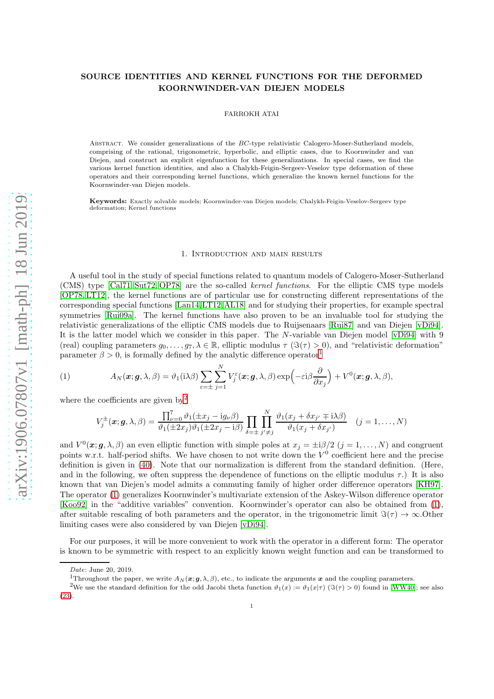# SOURCE IDENTITIES AND KERNEL FUNCTIONS FOR THE DEFORMED KOORNWINDER-VAN DIEJEN MODELS

FARROKH ATAI

ABSTRACT. We consider generalizations of the BC-type relativistic Calogero-Moser-Sutherland models, comprising of the rational, trigonometric, hyperbolic, and elliptic cases, due to Koornwinder and van Diejen, and construct an explicit eigenfunction for these generalizations. In special cases, we find the various kernel function identities, and also a Chalykh-Feigin-Sergeev-Veselov type deformation of these operators and their corresponding kernel functions, which generalize the known kernel functions for the Koornwinder-van Diejen models.

Keywords: Exactly solvable models; Koornwinder-van Diejen models; Chalykh-Feigin-Veselov-Sergeev type deformation; Kernel functions

#### 1. Introduction and main results

A useful tool in the study of special functions related to quantum models of Calogero-Moser-Sutherland (CMS) type [\[Cal71,](#page-17-0) [Sut72,](#page-18-0) [OP78\]](#page-18-1) are the so-called kernel functions. For the elliptic CMS type models [\[OP78,](#page-18-1) [LT12\]](#page-18-2), the kernel functions are of particular use for constructing different representations of the corresponding special functions [\[Lan14,](#page-18-3)[LT12,](#page-18-2)[AL18\]](#page-17-1) and for studying their properties, for example spectral symmetries [\[Rui09a\]](#page-18-4). The kernel functions have also proven to be an invaluable tool for studying the relativistic generalizations of the elliptic CMS models due to Ruijsenaars [\[Rui87\]](#page-18-5) and van Diejen [\[vDi94\]](#page-18-6). It is the latter model which we consider in this paper. The N-variable van Diejen model [\[vDi94\]](#page-18-6) with 9 (real) coupling parameters  $g_0, \ldots, g_7, \lambda \in \mathbb{R}$ , elliptic modulus  $\tau$  ( $\Im(\tau) > 0$ ), and "relativistic deformation" parameter  $\beta > 0$ , is formally defined by the analytic difference operator<sup>[1](#page-0-0)</sup>

(1) 
$$
A_N(\boldsymbol{x}; \boldsymbol{g}, \lambda, \beta) = \vartheta_1(i\lambda\beta) \sum_{\varepsilon = \pm} \sum_{j=1}^N V_j^{\varepsilon}(\boldsymbol{x}; \boldsymbol{g}, \lambda, \beta) \exp\left(-\varepsilon i\beta \frac{\partial}{\partial x_j}\right) + V^0(\boldsymbol{x}; \boldsymbol{g}, \lambda, \beta),
$$

where the coefficients are given  $by<sup>2</sup>$  $by<sup>2</sup>$  $by<sup>2</sup>$ 

<span id="page-0-2"></span>
$$
V_j^{\pm}(\boldsymbol{x};\boldsymbol{g},\lambda,\beta) = \frac{\prod_{\nu=0}^7 \vartheta_1(\pm x_j - i g_{\nu}\beta)}{\vartheta_1(\pm 2x_j)\vartheta_1(\pm 2x_j - i\beta)} \prod_{\delta=\pm} \prod_{j'\neq j}^N \frac{\vartheta_1(x_j + \delta x_{j'} \mp i\lambda\beta)}{\vartheta_1(x_j + \delta x_{j'})} \quad (j=1,\ldots,N)
$$

and  $V^0(\mathbf{x};\mathbf{g},\lambda,\beta)$  an even elliptic function with simple poles at  $x_j = \pm i\beta/2$   $(j = 1,\ldots,N)$  and congruent points w.r.t. half-period shifts. We have chosen to not write down the  $V^0$  coefficient here and the precise definition is given in [\(40\)](#page-12-0). Note that our normalization is different from the standard definition. (Here, and in the following, we often suppress the dependence of functions on the elliptic modulus  $\tau$ .) It is also known that van Diejen's model admits a commuting family of higher order difference operators [\[KH97\]](#page-17-2). The operator [\(1\)](#page-0-2) generalizes Koornwinder's multivariate extension of the Askey-Wilson difference operator [\[Koo92\]](#page-18-7) in the "additive variables" convention. Koornwinder's operator can also be obtained from [\(1\)](#page-0-2), after suitable rescaling of both parameters and the operator, in the trigonometric limit  $\Im(\tau) \to \infty$ . Other limiting cases were also considered by van Diejen [\[vDi94\]](#page-18-6).

For our purposes, it will be more convenient to work with the operator in a different form: The operator is known to be symmetric with respect to an explicitly known weight function and can be transformed to

Date: June 20, 2019.

<span id="page-0-0"></span><sup>&</sup>lt;sup>1</sup>Throughout the paper, we write  $A_N(\mathbf{x}; \mathbf{a}, \lambda, \beta)$ , etc., to indicate the arguments x and the coupling parameters.

<span id="page-0-1"></span><sup>&</sup>lt;sup>2</sup>We use the standard definition for the odd Jacobi theta function  $\vartheta_1(x) := \vartheta_1(x|\tau)$  ( $\Im(\tau) > 0$ ) found in [\[WW40\]](#page-18-8); see also [\(23\)](#page-5-0).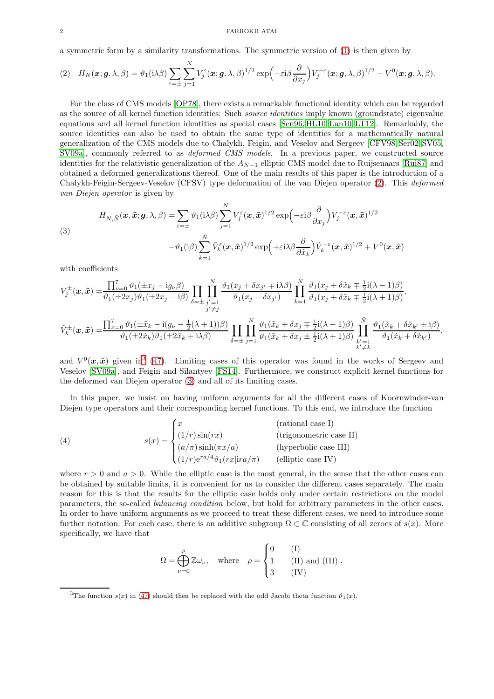#### 2 FARROKH ATAI

a symmetric form by a similarity transformations. The symmetric version of [\(1\)](#page-0-2) is then given by

<span id="page-1-0"></span>
$$
(2) \quad H_N(\boldsymbol{x}; \boldsymbol{g}, \lambda, \beta) = \vartheta_1(i\lambda\beta) \sum_{\varepsilon=\pm} \sum_{j=1}^N V_j^{\varepsilon}(\boldsymbol{x}; \boldsymbol{g}, \lambda, \beta)^{1/2} \exp\left(-\varepsilon i\beta \frac{\partial}{\partial x_j}\right) V_j^{-\varepsilon}(\boldsymbol{x}; \boldsymbol{g}, \lambda, \beta)^{1/2} + V^0(\boldsymbol{x}; \boldsymbol{g}, \lambda, \beta).
$$

For the class of CMS models [\[OP78\]](#page-18-1), there exists a remarkable functional identity which can be regarded as the source of all kernel function identities: Such source identities imply known (groundstate) eigenvalue equations and all kernel function identities as special cases [\[Sen96,](#page-18-9) [HL10,](#page-17-3) [Lan10,](#page-18-10) [LT12\]](#page-18-2). Remarkably, the source identities can also be used to obtain the same type of identities for a mathematically natural generalization of the CMS models due to Chalykh, Feigin, and Veselov and Sergeev [\[CFV98,](#page-17-4) [Ser02,](#page-18-11) [SV05,](#page-18-12) [SV09a\]](#page-18-13), commonly referred to as *deformed CMS models*. In a previous paper, we constructed source identities for the relativistic generalization of the  $A_{N-1}$  elliptic CMS model due to Ruijsenaars [\[Rui87\]](#page-18-5) and obtained a deformed generalizations thereof. One of the main results of this paper is the introduction of a Chalykh-Feigin-Sergeev-Veselov (CFSV) type deformation of the van Diejen operator [\(2\)](#page-1-0). This deformed van Diejen operator is given by

<span id="page-1-2"></span>(3)  
\n
$$
H_{N,\tilde{N}}(\boldsymbol{x}, \tilde{\boldsymbol{x}}; \boldsymbol{g}, \lambda, \beta) = \sum_{\varepsilon = \pm} \vartheta_1(i\lambda\beta) \sum_{j=1}^N V_j^{\varepsilon}(\boldsymbol{x}, \tilde{\boldsymbol{x}})^{1/2} \exp\left(-\varepsilon i\beta \frac{\partial}{\partial x_j}\right) V_j^{-\varepsilon}(\boldsymbol{x}, \tilde{\boldsymbol{x}})^{1/2}
$$
\n
$$
-\vartheta_1(i\beta) \sum_{k=1}^{\tilde{N}} \tilde{V}_k^{\varepsilon}(\boldsymbol{x}, \tilde{\boldsymbol{x}})^{1/2} \exp\left(+\varepsilon i\lambda\beta \frac{\partial}{\partial \tilde{x}_k}\right) \tilde{V}_k^{-\varepsilon}(\boldsymbol{x}, \tilde{\boldsymbol{x}})^{1/2} + V^0(\boldsymbol{x}, \tilde{\boldsymbol{x}})
$$

with coefficients

$$
V_j^{\pm}(\boldsymbol{x},\tilde{\boldsymbol{x}}) = \frac{\prod_{\nu=0}^7 \vartheta_1(\pm x_j - i g_{\nu} \beta)}{\vartheta_1(\pm 2x_j)\vartheta_1(\pm 2x_j - i\beta)} \prod_{\delta=\pm} \prod_{j'=1}^N \frac{\vartheta_1(x_j + \delta x_{j'} \mp i \lambda \beta)}{\vartheta_1(x_j + \delta x_{j'})} \prod_{k=1}^{\tilde{N}} \frac{\vartheta_1(x_j + \delta \tilde{x}_k \mp \frac{1}{2}i(\lambda - 1)\beta)}{\vartheta_1(x_j + \delta \tilde{x}_k \mp \frac{1}{2}i(\lambda + 1)\beta)},
$$
  

$$
\tilde{V}_k^{\pm}(\boldsymbol{x},\tilde{\boldsymbol{x}}) = \frac{\prod_{\nu=0}^7 \vartheta_1(\pm \tilde{x}_k - i(g_{\nu} - \frac{1}{2}(\lambda + 1))\beta)}{\vartheta_1(\pm 2\tilde{x}_k)\vartheta_1(\pm 2\tilde{x}_k + i\lambda\beta)} \prod_{\delta=\pm}^N \prod_{j=1}^N \frac{\vartheta_1(\tilde{x}_k + \delta x_j \mp \frac{1}{2}i(\lambda - 1)\beta)}{\vartheta_1(\tilde{x}_k + \delta x_j \pm \frac{1}{2}i(\lambda + 1)\beta)} \prod_{\substack{k'=1\\k' \neq k}}^N \frac{\vartheta_1(\tilde{x}_k + \delta \tilde{x}_{k'} \pm i\beta)}{\vartheta_1(\tilde{x}_k + \delta \tilde{x}_{k'})},
$$

and  $V^0(x, \tilde{x})$  given in<sup>[3](#page-1-1)</sup> [\(47\)](#page-15-0). Limiting cases of this operator was found in the works of Sergeev and Veselov [\[SV09a\]](#page-18-13), and Feigin and Silantyev [\[FS14\]](#page-17-5). Furthermore, we construct explicit kernel functions for the deformed van Diejen operator [\(3\)](#page-1-2) and all of its limiting cases.

In this paper, we insist on having uniform arguments for all the different cases of Koornwinder-van Diejen type operators and their corresponding kernel functions. To this end, we introduce the function

(4) 
$$
s(x) = \begin{cases} x & \text{(rational case I)}\\ (1/r)\sin(rx) & \text{(trigonometric case II)}\\ (a/\pi)\sinh(\pi x/a) & \text{(hyperbolic case III)}\\ (1/r)e^{ra/4}\vartheta_1(rx|ira/\pi) & \text{(elliptic case IV)} \end{cases}
$$

where  $r > 0$  and  $a > 0$ . While the elliptic case is the most general, in the sense that the other cases can be obtained by suitable limits, it is convenient for us to consider the different cases separately. The main reason for this is that the results for the elliptic case holds only under certain restrictions on the model parameters, the so-called balancing condition below, but hold for arbitrary parameters in the other cases. In order to have uniform arguments as we proceed to treat these different cases, we need to introduce some further notation: For each case, there is an additive subgroup  $\Omega \subset \mathbb{C}$  consisting of all zeroes of  $s(x)$ . More specifically, we have that

$$
\Omega = \bigoplus_{\nu=0}^{\rho} \mathbb{Z} \omega_{\nu}, \quad \text{where} \quad \rho = \begin{cases} 0 & \text{(I)} \\ 1 & \text{(II) and (III)} \\ 3 & \text{(IV)} \end{cases},
$$

<span id="page-1-1"></span><sup>&</sup>lt;sup>3</sup>The function  $s(x)$  in [\(47\)](#page-15-0) should then be replaced with the odd Jacobi theta function  $\vartheta_1(x)$ .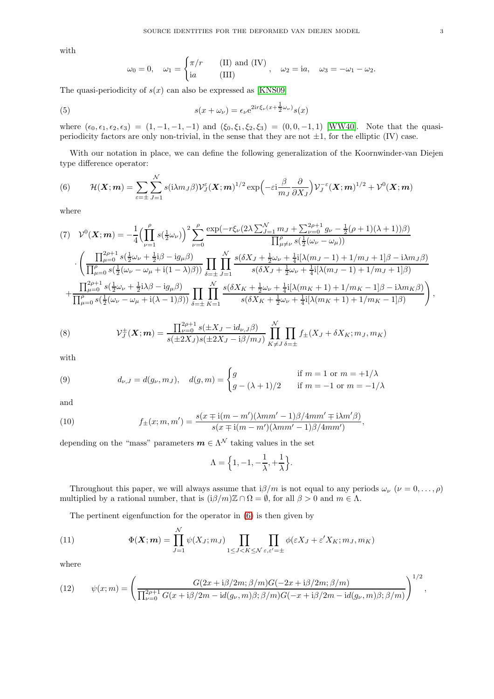with

<span id="page-2-5"></span>
$$
\omega_0 = 0
$$
,  $\omega_1 = \begin{cases} \pi/r & \text{(II) and (IV)} \\ \mathrm{i}a & \text{(III)} \end{cases}$ ,  $\omega_2 = \mathrm{i}a$ ,  $\omega_3 = -\omega_1 - \omega_2$ .

The quasi-periodicity of  $s(x)$  can also be expressed as [\[KNS09\]](#page-17-6)

(5) 
$$
s(x + \omega_{\nu}) = \epsilon_{\nu} e^{2i r \xi_{\nu} (x + \frac{1}{2} \omega_{\nu})} s(x)
$$

where  $(\epsilon_0, \epsilon_1, \epsilon_2, \epsilon_3) = (1, -1, -1, -1)$  and  $(\xi_0, \xi_1, \xi_2, \xi_3) = (0, 0, -1, 1)$  [\[WW40\]](#page-18-8). Note that the quasiperiodicity factors are only non-trivial, in the sense that they are not  $\pm 1$ , for the elliptic (IV) case.

With our notation in place, we can define the following generalization of the Koornwinder-van Diejen type difference operator:

<span id="page-2-0"></span>(6) 
$$
\mathcal{H}(\boldsymbol{X};\boldsymbol{m}) = \sum_{\varepsilon=\pm} \sum_{J=1}^{N} s(i\lambda m_J \beta) \mathcal{V}_J^{\varepsilon}(\boldsymbol{X};\boldsymbol{m})^{1/2} \exp\left(-\varepsilon i \frac{\beta}{m_J} \frac{\partial}{\partial X_J}\right) \mathcal{V}_J^{-\varepsilon}(\boldsymbol{X};\boldsymbol{m})^{1/2} + \mathcal{V}^0(\boldsymbol{X};\boldsymbol{m})
$$

where

<span id="page-2-4"></span>
$$
(7) \quad \mathcal{V}^{0}(\mathbf{X};m) = -\frac{1}{4} \Big( \prod_{\nu=1}^{\rho} s(\frac{1}{2}\omega_{\nu}) \Big)^{2} \sum_{\nu=0}^{\rho} \frac{\exp(-r\xi_{\nu}(2\lambda \sum_{J=1}^{N} m_{J} + \sum_{\nu=0}^{2\rho+1} g_{\nu} - \frac{1}{2}(\rho+1)(\lambda+1))\beta)}{\prod_{\mu\neq\nu}^{\rho} s(\frac{1}{2}(\omega_{\nu}-\omega_{\mu}))} \n\cdot \left( \frac{\prod_{\mu=0}^{2\rho+1} s(\frac{1}{2}\omega_{\nu} + \frac{1}{2}\mathbf{i}\beta - \mathbf{i}g_{\mu}\beta)}{\prod_{\mu=0}^{\rho} s(\frac{1}{2}(\omega_{\nu}-\omega_{\mu}+\mathbf{i}(1-\lambda)\beta))} \prod_{\delta=\pm}^{\rho} \prod_{J=1}^{N} \frac{s(\delta X_{J} + \frac{1}{2}\omega_{\nu} + \frac{1}{4}\mathbf{i}[\lambda(m_{J}-1) + 1/m_{J} + 1]\beta - \mathbf{i}\lambda m_{J}\beta)}{s(\delta X_{J} + \frac{1}{2}\omega_{\nu} + \frac{1}{4}\mathbf{i}[\lambda(m_{J}-1) + 1/m_{J} + 1]\beta)} \n+ \frac{\prod_{\mu=0}^{2\rho+1} s(\frac{1}{2}\omega_{\nu} + \frac{1}{2}\mathbf{i}\lambda\beta - \mathbf{i}g_{\mu}\beta)}{\prod_{\mu=0}^{\rho} s(\frac{1}{2}(\omega_{\nu}-\omega_{\mu}+\mathbf{i}(\lambda-1)\beta))} \prod_{\delta=\pm}^{\rho} \prod_{K=1}^{N} \frac{s(\delta X_{K} + \frac{1}{2}\omega_{\nu} + \frac{1}{4}\mathbf{i}[\lambda(m_{K}+1) + 1/m_{K} - 1]\beta - \mathbf{i}\lambda m_{K}\beta)}{s(\delta X_{K} + \frac{1}{2}\omega_{\nu} + \frac{1}{4}\mathbf{i}[\lambda(m_{K}+1) + 1/m_{K} - 1]\beta)} \Big),
$$

<span id="page-2-3"></span>(8) 
$$
\mathcal{V}_J^{\pm}(\bm{X};\bm{m}) = \frac{\prod_{\nu=0}^{2\rho+1} s(\pm X_J - \mathrm{i}d_{\nu,J}\beta)}{s(\pm 2X_J)s(\pm 2X_J - \mathrm{i}\beta/m_J)} \prod_{K \neq J}^{\mathcal{N}} \prod_{\delta=\pm} f_{\pm}(X_J + \delta X_K; m_J, m_K)
$$

with

<span id="page-2-6"></span>(9) 
$$
d_{\nu,J} = d(g_{\nu}, m_J), \quad d(g, m) = \begin{cases} g & \text{if } m = 1 \text{ or } m = +1/\lambda \\ g - (\lambda + 1)/2 & \text{if } m = -1 \text{ or } m = -1/\lambda \end{cases}
$$

and

<span id="page-2-7"></span>(10) 
$$
f_{\pm}(x; m, m') = \frac{s(x \mp i(m - m')(\lambda m m' - 1)\beta/4 m m' \mp i\lambda m' \beta)}{s(x \mp i(m - m')(\lambda m m' - 1)\beta/4 m m')},
$$

depending on the "mass" parameters  $m \in \Lambda^{\mathcal{N}}$  taking values in the set

$$
\Lambda = \left\{1, -1, -\frac{1}{\lambda}, +\frac{1}{\lambda}\right\}.
$$

Throughout this paper, we will always assume that  $i\beta/m$  is not equal to any periods  $\omega_{\nu}$  ( $\nu = 0, \ldots, \rho$ ) multiplied by a rational number, that is  $(i\beta/m)\mathbb{Z}\cap\Omega=\emptyset$ , for all  $\beta>0$  and  $m\in\Lambda$ .

<span id="page-2-1"></span>The pertinent eigenfunction for the operator in [\(6\)](#page-2-0) is then given by

(11) 
$$
\Phi(\mathbf{X}; \mathbf{m}) = \prod_{J=1}^{N} \psi(X_J; m_J) \prod_{1 \leq J < K \leq N} \prod_{\varepsilon, \varepsilon' = \pm} \phi(\varepsilon X_J + \varepsilon' X_K; m_J, m_K)
$$

where

<span id="page-2-2"></span>(12) 
$$
\psi(x;m) = \left(\frac{G(2x+i\beta/2m;\beta/m)G(-2x+i\beta/2m;\beta/m)}{\prod_{\nu=0}^{2\rho+1}G(x+i\beta/2m-i d(g_{\nu},m)\beta;\beta/m)G(-x+i\beta/2m-i d(g_{\nu},m)\beta;\beta/m)}\right)^{1/2},
$$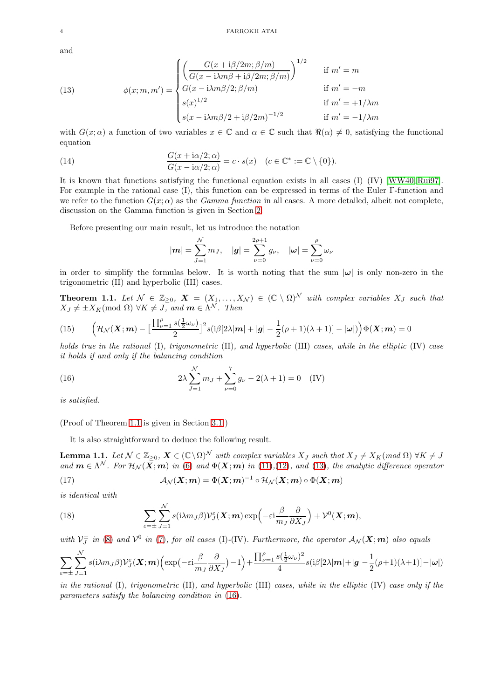and

<span id="page-3-1"></span>(13) 
$$
\phi(x; m, m') = \begin{cases} \left( \frac{G(x + i\beta/2m; \beta/m)}{G(x - i\lambda m\beta + i\beta/2m; \beta/m)} \right)^{1/2} & \text{if } m' = m\\ G(x - i\lambda m\beta/2; \beta/m) & \text{if } m' = -m\\ s(x)^{1/2} & \text{if } m' = +1/\lambda m\\ s(x - i\lambda m\beta/2 + i\beta/2m)^{-1/2} & \text{if } m' = -1/\lambda m \end{cases}
$$

with  $G(x; \alpha)$  a function of two variables  $x \in \mathbb{C}$  and  $\alpha \in \mathbb{C}$  such that  $\Re(\alpha) \neq 0$ , satisfying the functional equation

(14) 
$$
\frac{G(x+i\alpha/2;\alpha)}{G(x-i\alpha/2;\alpha)}=c\cdot s(x) \quad (c\in\mathbb{C}^*:=\mathbb{C}\setminus\{0\}).
$$

It is known that functions satisfying the functional equation exists in all cases  $(I)$ – $(IV)$  [\[WW40,](#page-18-8) [Rui97\]](#page-18-14). For example in the rational case (I), this function can be expressed in terms of the Euler Γ-function and we refer to the function  $G(x; \alpha)$  as the *Gamma function* in all cases. A more detailed, albeit not complete, discussion on the Gamma function is given in Section [2.](#page-4-0)

Before presenting our main result, let us introduce the notation

<span id="page-3-5"></span>
$$
|\mathbf{m}| = \sum_{J=1}^{N} m_J, \quad |\mathbf{g}| = \sum_{\nu=0}^{2\rho+1} g_{\nu}, \quad |\boldsymbol{\omega}| = \sum_{\nu=0}^{\rho} \omega_{\nu}
$$

in order to simplify the formulas below. It is worth noting that the sum  $|\omega|$  is only non-zero in the trigonometric (II) and hyperbolic (III) cases.

<span id="page-3-0"></span>**Theorem 1.1.** Let  $\mathcal{N} \in \mathbb{Z}_{\geq 0}$ ,  $\mathbf{X} = (X_1, \ldots, X_N) \in (\mathbb{C} \setminus \Omega)^N$  with complex variables  $X_J$  such that  $X_J \neq \pm X_K \text{(mod } \Omega) \,\,\forall K \neq J, \text{ and } \boldsymbol{m} \in \Lambda^{\mathcal{N}}.$  Then

<span id="page-3-4"></span>(15) 
$$
\left(\mathcal{H}_{\mathcal{N}}(\boldsymbol{X};\boldsymbol{m}) - \left[\frac{\prod_{\nu=1}^{\rho} s(\frac{1}{2}\omega_{\nu})}{2}\right]^{2} s(i\beta[2\lambda|\boldsymbol{m}|+|\boldsymbol{g}|-\frac{1}{2}(\rho+1)(\lambda+1)] - |\boldsymbol{\omega}|)\right)\Phi(\boldsymbol{X};\boldsymbol{m}) = 0
$$

holds true in the rational (I), trigonometric (II), and hyperbolic (III) cases, while in the elliptic (IV) case it holds if and only if the balancing condition

<span id="page-3-2"></span>(16) 
$$
2\lambda \sum_{J=1}^{N} m_J + \sum_{\nu=0}^{7} g_{\nu} - 2(\lambda + 1) = 0 \quad (IV)
$$

is satisfied.

(Proof of Theorem [1.1](#page-3-0) is given in Section [3.1.](#page-7-0))

It is also straightforward to deduce the following result.

<span id="page-3-3"></span>**Lemma 1.1.** Let  $\mathcal{N} \in \mathbb{Z}_{\geq 0}$ ,  $\mathbf{X} \in (\mathbb{C} \setminus \Omega)^{\mathcal{N}}$  with complex variables  $X_J$  such that  $X_J \neq X_K \pmod{\Omega}$   $\forall K \neq J$ and  $m \in \Lambda^N$ . For  $\mathcal{H}_\mathcal{N}(X; m)$  in [\(6\)](#page-2-0) and  $\Phi(X; m)$  in [\(11\)](#page-2-1),[\(12\)](#page-2-2), and [\(13\)](#page-3-1), the analytic difference operator (17)  $\mathcal{A}_{\mathcal{N}}(\boldsymbol{X};\boldsymbol{m}) = \Phi(\boldsymbol{X};\boldsymbol{m})^{-1} \circ \mathcal{H}_{\mathcal{N}}(\boldsymbol{X};\boldsymbol{m}) \circ \Phi(\boldsymbol{X};\boldsymbol{m})$ 

is identical with

<span id="page-3-6"></span>(18) 
$$
\sum_{\varepsilon=\pm} \sum_{J=1}^{N} s(i\lambda m_J \beta) \mathcal{V}_J^{\varepsilon}(\boldsymbol{X}; \boldsymbol{m}) \exp\left(-\varepsilon i \frac{\beta}{m_J} \frac{\partial}{\partial X_J}\right) + \mathcal{V}^0(\boldsymbol{X}; \boldsymbol{m}),
$$

with  $\mathcal{V}_J^{\pm}$  in [\(8\)](#page-2-3) and  $\mathcal{V}^0$  in [\(7\)](#page-2-4), for all cases (I)-(IV). Furthermore, the operator  $\mathcal{A}_\mathcal{N}(X; m)$  also equals

$$
\sum_{\varepsilon=\pm}\sum_{J=1}^N s(i\lambda m_J\beta) \mathcal{V}_J^{\varepsilon}(\boldsymbol{X};\boldsymbol{m})\Big(\exp\big(-\varepsilon i\frac{\beta}{m_J}\frac{\partial}{\partial X_J}\big)-1\Big)+\frac{\prod_{\nu=1}^{\rho}s(\frac{1}{2}\omega_{\nu})^2}{4}s(i\beta[2\lambda|\boldsymbol{m}|+|\boldsymbol{g}|-\frac{1}{2}(\rho+1)(\lambda+1)]-|\boldsymbol{\omega}|)
$$

in the rational (I), trigonometric (II), and hyperbolic (III) cases, while in the elliptic (IV) case only if the parameters satisfy the balancing condition in [\(16\)](#page-3-2).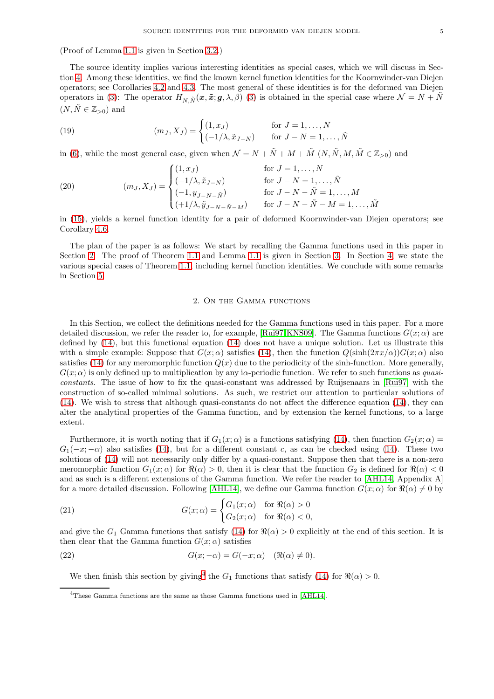(Proof of Lemma [1.1](#page-3-3) is given in Section [3.2.](#page-11-0))

The source identity implies various interesting identities as special cases, which we will discuss in Section [4.](#page-12-1) Among these identities, we find the known kernel function identities for the Koornwinder-van Diejen operators; see Corollaries [4.2](#page-13-0) and [4.3.](#page-14-0) The most general of these identities is for the deformed van Diejen operators in [\(3\)](#page-1-2): The operator  $H_{N,\tilde{N}}(\boldsymbol{x}, \tilde{\boldsymbol{x}}; \boldsymbol{g}, \lambda, \beta)$  (3) is obtained in the special case where  $\mathcal{N} = N + \tilde{N}$  $(N, \tilde{N} \in \mathbb{Z}_{>0})$  and

<span id="page-4-3"></span>(19) 
$$
(m_J, X_J) = \begin{cases} (1, x_J) & \text{for } J = 1, ..., N \\ (-1/\lambda, \tilde{x}_{J-N}) & \text{for } J - N = 1, ..., \tilde{N} \end{cases}
$$

in [\(6\)](#page-2-0), while the most general case, given when  $\mathcal{N} = N + \tilde{N} + M + \tilde{M} (N, \tilde{N}, M, \tilde{M} \in \mathbb{Z}_{>0})$  and

<span id="page-4-4"></span>(20) 
$$
(m_J, X_J) = \begin{cases} (1, x_J) & \text{for } J = 1, ..., N \\ (-1/\lambda, \tilde{x}_{J-N}) & \text{for } J - N = 1, ..., \tilde{N} \\ (-1, y_{J-N-\tilde{N}}) & \text{for } J - N - \tilde{N} = 1, ..., M \\ (+1/\lambda, \tilde{y}_{J-N-\tilde{N}-M}) & \text{for } J - N - \tilde{N} - M = 1, ..., \tilde{M} \end{cases}
$$

in [\(15\)](#page-3-4), yields a kernel function identity for a pair of deformed Koornwinder-van Diejen operators; see Corollary [4.6.](#page-16-0)

<span id="page-4-0"></span>The plan of the paper is as follows: We start by recalling the Gamma functions used in this paper in Section [2.](#page-4-0) The proof of Theorem [1.1](#page-3-0) and Lemma [1.1](#page-3-3) is given in Section [3.](#page-6-0) In Section [4,](#page-12-1) we state the various special cases of Theorem [1.1,](#page-3-0) including kernel function identities. We conclude with some remarks in Section [5.](#page-17-7)

### 2. On the Gamma functions

In this Section, we collect the definitions needed for the Gamma functions used in this paper. For a more detailed discussion, we refer the reader to, for example, [\[Rui97,](#page-18-14) [KNS09\]](#page-17-6). The Gamma functions  $G(x; \alpha)$  are defined by [\(14\)](#page-3-5), but this functional equation [\(14\)](#page-3-5) does not have a unique solution. Let us illustrate this with a simple example: Suppose that  $G(x; \alpha)$  satisfies [\(14\)](#page-3-5), then the function  $Q(\sinh(2\pi x/\alpha))G(x; \alpha)$  also satisfies [\(14\)](#page-3-5) for any meromorphic function  $Q(x)$  due to the periodicity of the sinh-function. More generally,  $G(x; \alpha)$  is only defined up to multiplication by any i $\alpha$ -periodic function. We refer to such functions as quasiconstants. The issue of how to fix the quasi-constant was addressed by Ruijsenaars in [\[Rui97\]](#page-18-14) with the construction of so-called minimal solutions. As such, we restrict our attention to particular solutions of [\(14\)](#page-3-5). We wish to stress that although quasi-constants do not affect the difference equation [\(14\)](#page-3-5), they can alter the analytical properties of the Gamma function, and by extension the kernel functions, to a large extent.

Furthermore, it is worth noting that if  $G_1(x; \alpha)$  is a functions satisfying [\(14\)](#page-3-5), then function  $G_2(x; \alpha)$  =  $G_1(-x; -\alpha)$  also satisfies [\(14\)](#page-3-5), but for a different constant c, as can be checked using (14). These two solutions of [\(14\)](#page-3-5) will not necessarily only differ by a quasi-constant. Suppose then that there is a non-zero meromorphic function  $G_1(x; \alpha)$  for  $\Re(\alpha) > 0$ , then it is clear that the function  $G_2$  is defined for  $\Re(\alpha) < 0$ and as such is a different extensions of the Gamma function. We refer the reader to [\[AHL14,](#page-17-8) Appendix A] for a more detailed discussion. Following [\[AHL14\]](#page-17-8), we define our Gamma function  $G(x; \alpha)$  for  $\Re(\alpha) \neq 0$  by

(21) 
$$
G(x; \alpha) = \begin{cases} G_1(x; \alpha) & \text{for } \Re(\alpha) > 0 \\ G_2(x; \alpha) & \text{for } \Re(\alpha) < 0, \end{cases}
$$

and give the  $G_1$  Gamma functions that satisfy [\(14\)](#page-3-5) for  $\Re(\alpha) > 0$  explicitly at the end of this section. It is then clear that the Gamma function  $G(x; \alpha)$  satisfies

(22) 
$$
G(x; -\alpha) = G(-x; \alpha) \quad (\Re(\alpha) \neq 0).
$$

<span id="page-4-2"></span>We then finish this section by giving<sup>[4](#page-4-1)</sup> the  $G_1$  functions that satisfy [\(14\)](#page-3-5) for  $\Re(\alpha) > 0$ .

<span id="page-4-1"></span><sup>&</sup>lt;sup>4</sup>These Gamma functions are the same as those Gamma functions used in [\[AHL14\]](#page-17-8).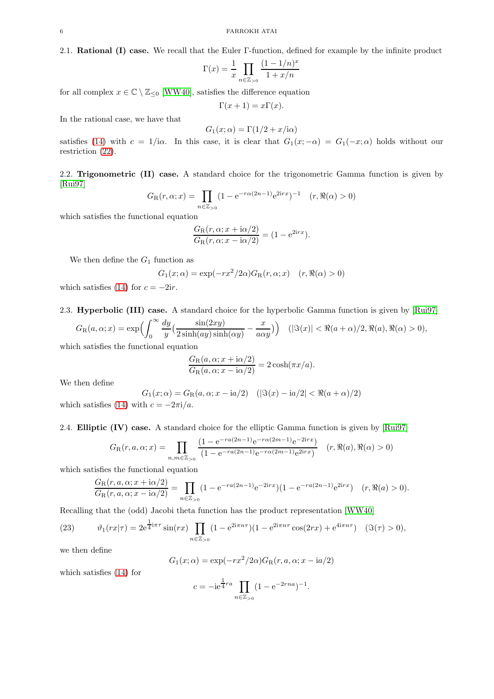$$
\Gamma(x) = \frac{1}{x} \prod_{n \in \mathbb{Z}_{>0}} \frac{(1 - 1/n)^x}{1 + x/n}
$$

for all complex  $x \in \mathbb{C} \setminus \mathbb{Z}_{\leq 0}$  [\[WW40\]](#page-18-8), satisfies the difference equation

$$
\Gamma(x+1) = x\Gamma(x).
$$

In the rational case, we have that

$$
G_1(x; \alpha) = \Gamma(1/2 + x/\mathrm{i}\alpha)
$$

satisfies [\(14\)](#page-3-5) with  $c = 1/i\alpha$ . In this case, it is clear that  $G_1(x; -\alpha) = G_1(-x; \alpha)$  holds without our restriction [\(22\)](#page-4-2).

2.2. Trigonometric (II) case. A standard choice for the trigonometric Gamma function is given by [\[Rui97\]](#page-18-14)

$$
G_{\rm R}(r,\alpha;x) = \prod_{n \in \mathbb{Z}_{>0}} (1 - e^{-r\alpha(2n-1)} e^{2irx})^{-1} \quad (r, \Re(\alpha) > 0)
$$

which satisfies the functional equation

$$
\frac{G_{\rm R}(r,\alpha;x+i\alpha/2)}{G_{\rm R}(r,\alpha;x-i\alpha/2)} = (1 - e^{2irx}).
$$

We then define the  $G_1$  function as

$$
G_1(x; \alpha) = \exp(-rx^2/2\alpha)G_R(r, \alpha; x) \quad (r, \Re(\alpha) > 0)
$$

which satisfies [\(14\)](#page-3-5) for  $c = -2ir$ .

2.3. Hyperbolic (III) case. A standard choice for the hyperbolic Gamma function is given by [\[Rui97\]](#page-18-14)

$$
G_{\mathcal{R}}(a,\alpha;x) = \exp\Bigl(\int_0^\infty \frac{dy}{y} \Bigl(\frac{\sin(2xy)}{2\sinh(ay)\sinh(\alpha y)} - \frac{x}{a\alpha y}\Bigr)\Bigr) \quad (|\Im(x)| < \Re(a+\alpha)/2, \Re(a), \Re(\alpha) > 0),
$$

which satisfies the functional equation

$$
\frac{G_{\rm R}(a,\alpha;x+i\alpha/2)}{G_{\rm R}(a,\alpha;x-i\alpha/2)}=2\cosh(\pi x/a).
$$

We then define

$$
G_1(x; \alpha) = G_{\rm R}(a, \alpha; x - \mathrm{i}a/2) \quad (|\Im(x) - \mathrm{i}a/2| < \Re(a + \alpha)/2)
$$
\nwhich satisfies (14) with  $c = -2\pi i/a$ .

2.4. Elliptic (IV) case. A standard choice for the elliptic Gamma function is given by [\[Rui97\]](#page-18-14)

$$
G_{\rm R}(r, a, \alpha; x) = \prod_{n,m \in \mathbb{Z}_{>0}} \frac{(1 - e^{-ra(2n-1)}e^{-r\alpha(2m-1)}e^{-2irx})}{(1 - e^{-ra(2n-1)}e^{-r\alpha(2m-1)}e^{2irx})} \quad (r, \Re(a), \Re(\alpha) > 0)
$$

which satisfies the functional equation

$$
\frac{G_{\rm R}(r, a, \alpha; x + i\alpha/2)}{G_{\rm R}(r, a, \alpha; x - i\alpha/2)} = \prod_{n \in \mathbb{Z}_{>0}} (1 - e^{-ra(2n-1)}e^{-2irx}) (1 - e^{-ra(2n-1)}e^{2irx}) \quad (r, \Re(a) > 0).
$$

Recalling that the (odd) Jacobi theta function has the product representation [\[WW40\]](#page-18-8)

<span id="page-5-0"></span>(23) 
$$
\vartheta_1(rx|\tau) = 2e^{\frac{1}{4}i\pi\tau} \sin(rx) \prod_{n \in \mathbb{Z}_{>0}} (1 - e^{2i\pi n\tau})(1 - e^{2i\pi n\tau} \cos(2rx) + e^{4i\pi n\tau}) \quad (\Im(\tau) > 0),
$$

we then define

$$
G_1(x; \alpha) = \exp(-rx^2/2\alpha)G_R(r, a, \alpha; x - i\alpha/2)
$$

which satisfies [\(14\)](#page-3-5) for

$$
c = -ie^{\frac{1}{4}ra} \prod_{n \in \mathbb{Z}_{>0}} (1 - e^{-2rna})^{-1}.
$$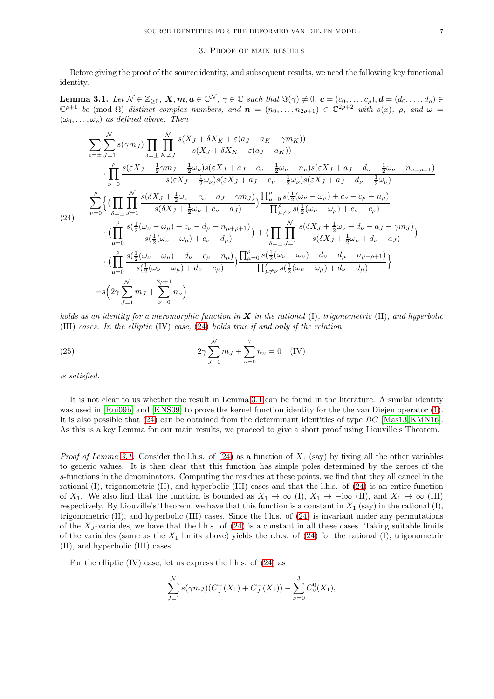## 3. Proof of main results

<span id="page-6-0"></span>Before giving the proof of the source identity, and subsequent results, we need the following key functional identity.

<span id="page-6-2"></span>**Lemma 3.1.** Let  $\mathcal{N} \in \mathbb{Z}_{\geq 0}$ ,  $\mathbf{X}, \mathbf{m}, \mathbf{a} \in \mathbb{C}^{\mathcal{N}}$ ,  $\gamma \in \mathbb{C}$  such that  $\Im(\gamma) \neq 0$ ,  $\mathbf{c} = (c_0, \ldots, c_{\rho}), \mathbf{d} = (d_0, \ldots, d_{\rho}) \in$  $\mathbb{C}^{\rho+1}$  be (mod  $\Omega$ ) distinct complex numbers, and  $\mathbf{n} = (n_0, \ldots, n_{2\rho+1}) \in \mathbb{C}^{2\rho+2}$  with  $s(x)$ ,  $\rho$ , and  $\omega =$  $(\omega_0, \ldots, \omega_\rho)$  as defined above. Then

<span id="page-6-1"></span>
$$
\sum_{\varepsilon=\pm} \sum_{J=1}^{N} s(\gamma m_{J}) \prod_{\delta=\pm} \prod_{K\neq J}^{N} \frac{s(X_{J} + \delta X_{K} + \varepsilon(a_{J} - a_{K} - \gamma m_{K}))}{s(X_{J} + \delta X_{K} + \varepsilon(a_{J} - a_{K}))}
$$
\n
$$
\cdot \prod_{\nu=0}^{\rho} \frac{s(\varepsilon X_{J} - \frac{1}{2}\gamma m_{J} - \frac{1}{2}\omega_{\nu})s(\varepsilon X_{J} + a_{J} - c_{\nu} - \frac{1}{2}\omega_{\nu} - n_{\nu})s(\varepsilon X_{J} + a_{J} - d_{\nu} - \frac{1}{2}\omega_{\nu} - n_{\nu+\rho+1})}{s(\varepsilon X_{J} - \frac{1}{2}\omega_{\nu})s(\varepsilon X_{J} + a_{J} - c_{\nu} - \frac{1}{2}\omega_{\nu})s(\varepsilon X_{J} + a_{J} - d_{\nu} - \frac{1}{2}\omega_{\nu})}
$$
\n
$$
-\sum_{\nu=0}^{\rho} \left\{ \left( \prod_{\delta=\pm} \prod_{j=1}^{N} \frac{s(\delta X_{J} + \frac{1}{2}\omega_{\nu} + c_{\nu} - a_{J} - \gamma m_{J})}{s(\delta X_{J} + \frac{1}{2}\omega_{\nu} + c_{\nu} - a_{J})} \right) \frac{\prod_{\mu=0}^{\rho} s(\frac{1}{2}(\omega_{\nu} - \omega_{\mu}) + c_{\nu} - c_{\mu} - n_{\mu})}{\prod_{\mu\neq\nu}^{\rho} s(\frac{1}{2}(\omega_{\nu} - \omega_{\mu}) + c_{\nu} - c_{\mu})}
$$
\n
$$
\cdot \left( \prod_{\mu=0}^{\rho} \frac{s(\frac{1}{2}(\omega_{\nu} - \omega_{\mu}) + c_{\nu} - d_{\mu} - n_{\mu+\rho+1})}{s(\frac{1}{2}(\omega_{\nu} - \omega_{\mu}) + c_{\nu} - d_{\mu})} \right) + \left( \prod_{\delta=\pm} \prod_{j=1}^{N} \frac{s(\delta X_{J} + \frac{1}{2}\omega_{\nu} + d_{\nu} - a_{J} - \gamma m_{J})}{s(\delta X_{J} + \frac{1}{2}\omega_{\nu} + d_{
$$

holds as an identity for a meromorphic function in  $X$  in the rational (I), trigonometric (II), and hyperbolic (III) cases. In the elliptic (IV) case, [\(24\)](#page-6-1) holds true if and only if the relation

<span id="page-6-3"></span>(25) 
$$
2\gamma \sum_{J=1}^{N} m_J + \sum_{\nu=0}^{7} n_{\nu} = 0 \quad (IV)
$$

is satisfied.

It is not clear to us whether the result in Lemma [3.1](#page-6-2) can be found in the literature. A similar identity was used in [\[Rui09b\]](#page-18-15) and [\[KNS09\]](#page-17-6) to prove the kernel function identity for the the van Diejen operator [\(1\)](#page-0-2). It is also possible that [\(24\)](#page-6-1) can be obtained from the determinant identities of type BC [\[Mas13,](#page-18-16) [KMN16\]](#page-17-9). As this is a key Lemma for our main results, we proceed to give a short proof using Liouville's Theorem.

*Proof of Lemma [3.1.](#page-6-2)* Consider the l.h.s. of [\(24\)](#page-6-1) as a function of  $X_1$  (say) by fixing all the other variables to generic values. It is then clear that this function has simple poles determined by the zeroes of the s-functions in the denominators. Computing the residues at these points, we find that they all cancel in the rational (I), trigonometric (II), and hyperbolic (III) cases and that the l.h.s. of [\(24\)](#page-6-1) is an entire function of  $X_1$ . We also find that the function is bounded as  $X_1 \to \infty$  (I),  $X_1 \to -i\infty$  (II), and  $X_1 \to \infty$  (III) respectively. By Liouville's Theorem, we have that this function is a constant in  $X_1$  (say) in the rational (I), trigonometric  $(II)$ , and hyperbolic  $(III)$  cases. Since the l.h.s. of  $(24)$  is invariant under any permutations of the  $X_J$ -variables, we have that the l.h.s. of [\(24\)](#page-6-1) is a constant in all these cases. Taking suitable limits of the variables (same as the  $X_1$  limits above) yields the r.h.s. of [\(24\)](#page-6-1) for the rational (I), trigonometric (II), and hyperbolic (III) cases.

For the elliptic (IV) case, let us express the l.h.s. of [\(24\)](#page-6-1) as

$$
\sum_{J=1}^{N} s(\gamma m_J)(C_J^+(X_1) + C_J^-(X_1)) - \sum_{\nu=0}^{3} C_{\nu}^0(X_1),
$$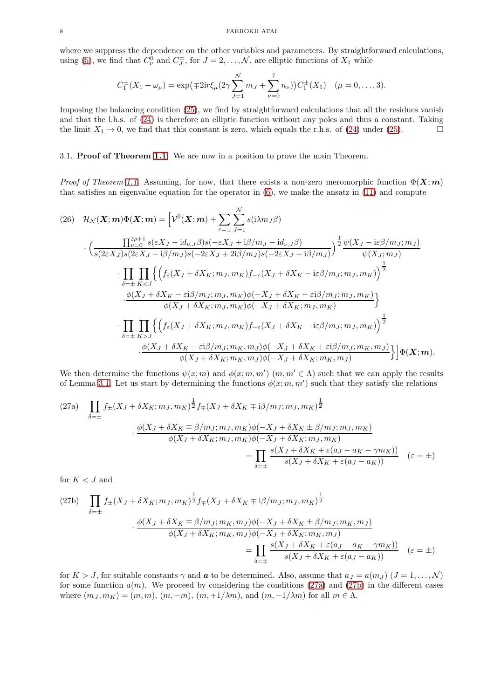where we suppress the dependence on the other variables and parameters. By straightforward calculations, using [\(5\)](#page-2-5), we find that  $C_{\nu}^{0}$  and  $C_{J}^{\pm}$ , for  $J = 2, \ldots, \mathcal{N}$ , are elliptic functions of  $X_1$  while

$$
C_1^{\pm}(X_1 + \omega_{\mu}) = \exp(\mp 2ir\xi_{\mu}(2\gamma \sum_{J=1}^{N} m_J + \sum_{\nu=0}^{7} n_{\nu})) C_1^{\pm}(X_1) \quad (\mu = 0, \dots, 3).
$$

Imposing the balancing condition [\(25\)](#page-6-3), we find by straightforward calculations that all the residues vanish and that the l.h.s. of [\(24\)](#page-6-1) is therefore an elliptic function without any poles and thus a constant. Taking the limit  $X_1 \to 0$ , we find that this constant is zero, which equals the r.h.s. of [\(24\)](#page-6-1) under [\(25\)](#page-6-3).

### <span id="page-7-0"></span>3.1. Proof of Theorem [1.1.](#page-3-0) We are now in a position to prove the main Theorem.

*Proof of Theorem [1.1.](#page-3-0)* Assuming, for now, that there exists a non-zero meromorphic function  $\Phi(X; m)$ that satisfies an eigenvalue equation for the operator in [\(6\)](#page-2-0), we make the ansatz in [\(11\)](#page-2-1) and compute

<span id="page-7-3"></span>
$$
(26) \quad \mathcal{H}_{\mathcal{N}}(\mathbf{X};\mathbf{m})\Phi(\mathbf{X};\mathbf{m}) = \left[\mathcal{V}^{0}(\mathbf{X};\mathbf{m}) + \sum_{\varepsilon=\pm} \sum_{J=1}^{N} s(i\lambda m_{J}\beta) \right]
$$

$$
\cdot \left(\frac{\prod_{\nu=0}^{2\rho+1} s(\varepsilon X_{J} - id_{\nu,J}\beta)s(-\varepsilon X_{J} + i\beta/m_{J} - id_{\nu,J}\beta)}{s(2\varepsilon X_{J})s(2\varepsilon X_{J} - i\beta/m_{J})s(-2\varepsilon X_{J} + 2i\beta/m_{J})s(-2\varepsilon X_{J} + i\beta/m_{J})}\right)^{\frac{1}{2}} \frac{\psi(X_{J} - i\varepsilon\beta/m_{J};m_{J})}{\psi(X_{J};m_{J})}
$$

$$
\cdot \prod_{\delta=\pm} \prod_{K
$$
\cdot \frac{\phi(X_{J} + \delta X_{K} - \varepsilon i\beta/m_{J};m_{J},m_{K})\phi(-X_{J} + \delta X_{K} + \varepsilon i\beta/m_{J};m_{J},m_{K})}{\phi(X_{J} + \delta X_{K};m_{J},m_{K})\phi(-X_{J} + \delta X_{K};m_{J},m_{K})}\right\}
$$

$$
\cdot \prod_{\delta=\pm} \prod_{K>J} \left\{\left(f_{\varepsilon}(X_{J} + \delta X_{K};m_{J},m_{K})f_{-\varepsilon}(X_{J} + \delta X_{K} - i\varepsilon\beta/m_{J};m_{J},m_{K})\right)^{\frac{1}{2}}\right\} \frac{\psi(X_{J} + \delta X_{K} - \varepsilon i\beta/m_{J};m_{K},m_{J})}{\psi(X_{J} + \delta X_{K};m_{K},m_{J})\phi(-X_{J} + \delta X_{K};m_{K},m_{J})}\right\} \left[\Phi(\mathbf{X};\mathbf{m}).
$$
$$

We then determine the functions  $\psi(x;m)$  and  $\phi(x;m,m')$   $(m,m' \in \Lambda)$  such that we can apply the results of Lemma [3.1.](#page-6-2) Let us start by determining the functions  $\phi(x; m, m')$  such that they satisfy the relations

<span id="page-7-1"></span>(27a) 
$$
\prod_{\delta=\pm} f_{\pm}(X_J + \delta X_K; m_J, m_K)^{\frac{1}{2}} f_{\mp}(X_J + \delta X_K \mp i\beta/m_J; m_J, m_K)^{\frac{1}{2}}
$$

$$
\cdot \frac{\phi(X_J + \delta X_K \mp \beta/m_J; m_J, m_K)\phi(-X_J + \delta X_K \pm \beta/m_J; m_J, m_K)}{\phi(X_J + \delta X_K; m_J, m_K)\phi(-X_J + \delta X_K; m_J, m_K)}
$$

$$
= \prod_{\delta=\pm} \frac{s(X_J + \delta X_K + \varepsilon(a_J - a_K - \gamma m_K))}{s(X_J + \delta X_K + \varepsilon(a_J - a_K))} \quad (\varepsilon = \pm)
$$

for  $K < J$  and

<span id="page-7-2"></span>(27b) 
$$
\prod_{\delta=\pm} f_{\pm}(X_J + \delta X_K; m_J, m_K)^{\frac{1}{2}} f_{\mp}(X_J + \delta X_K \mp i\beta/m_J; m_J, m_K)^{\frac{1}{2}}
$$

$$
\frac{\phi(X_J + \delta X_K \mp \beta/m_J; m_K, m_J)\phi(-X_J + \delta X_K \pm \beta/m_J; m_K, m_J)}{\phi(X_J + \delta X_K; m_K, m_J)\phi(-X_J + \delta X_K; m_K, m_J)}
$$

$$
= \prod_{\delta=\pm} \frac{s(X_J + \delta X_K + \varepsilon(a_J - a_K - \gamma m_K))}{s(X_J + \delta X_K + \varepsilon(a_J - a_K))} \quad (\varepsilon = \pm)
$$

for  $K > J$ , for suitable constants  $\gamma$  and  $\boldsymbol{a}$  to be determined. Also, assume that  $a_J = a(m_J)$   $(J = 1, \ldots, \mathcal{N})$ for some function  $a(m)$ . We proceed by considering the conditions [\(27a\)](#page-7-1) and [\(27b\)](#page-7-2) in the different cases where  $(m_J, m_K) = (m, m), (m, -m), (m, +1/\lambda m)$ , and  $(m, -1/\lambda m)$  for all  $m \in \Lambda$ .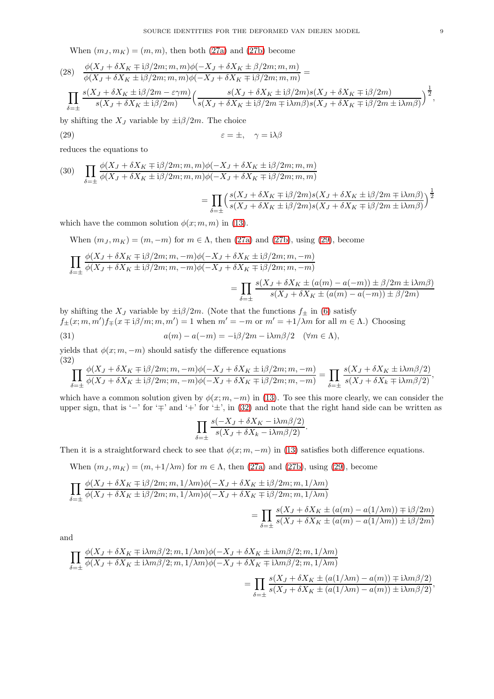When  $(m_J, m_K) = (m, m)$ , then both [\(27a\)](#page-7-1) and [\(27b\)](#page-7-2) become

$$
(28) \frac{\phi(X_J + \delta X_K \mp \mathrm{i}\beta/2m; m, m)\phi(-X_J + \delta X_K \pm \beta/2m; m, m)}{\phi(X_J + \delta X_K \pm \mathrm{i}\beta/2m; m, m)\phi(-X_J + \delta X_K \mp \mathrm{i}\beta/2m; m, m)} =
$$
\n
$$
\prod_{\delta=\pm} \frac{s(X_J + \delta X_K \pm \mathrm{i}\beta/2m - \varepsilon\gamma m)}{s(X_J + \delta X_K \pm \mathrm{i}\beta/2m)} \Big(\frac{s(X_J + \delta X_K \pm \mathrm{i}\beta/2m)s(X_J + \delta X_K \mp \mathrm{i}\beta/2m)}{s(X_J + \delta X_K \pm \mathrm{i}\beta/2m + \mathrm{i}\lambda m\beta)s(X_J + \delta X_K \mp \mathrm{i}\beta/2m \pm \mathrm{i}\lambda m\beta)}\Big)^{\frac{1}{2}},
$$

by shifting the  $X_J$  variable by  $\pm i\beta/2m$ . The choice

<span id="page-8-0"></span>(29) 
$$
\varepsilon = \pm, \quad \gamma = i\lambda\beta
$$

reduces the equations to

(30) 
$$
\prod_{\delta=\pm} \frac{\phi(X_J + \delta X_K \mp i\beta/2m; m, m)\phi(-X_J + \delta X_K \pm i\beta/2m; m, m)}{\phi(X_J + \delta X_K \pm i\beta/2m; m, m)\phi(-X_J + \delta X_K \mp i\beta/2m; m, m)}
$$

$$
= \prod_{\delta=\pm} \left(\frac{s(X_J + \delta X_K \mp i\beta/2m)s(X_J + \delta X_K \pm i\beta/2m \mp i\lambda m\beta)}{s(X_J + \delta X_K \pm i\beta/2m)s(X_J + \delta X_K \mp i\beta/2m \pm i\lambda m\beta)}\right)^{\frac{1}{2}}
$$

which have the common solution  $\phi(x; m, m)$  in [\(13\)](#page-3-1).

When  $(m_J, m_K) = (m, -m)$  for  $m \in \Lambda$ , then [\(27a\)](#page-7-1) and [\(27b\)](#page-7-2), using [\(29\)](#page-8-0), become

$$
\prod_{\delta=\pm} \frac{\phi(X_J + \delta X_K \mp \mathrm{i}\beta/2m; m, -m)\phi(-X_J + \delta X_K \pm \mathrm{i}\beta/2m; m, -m)}{\phi(X_J + \delta X_K \pm \mathrm{i}\beta/2m; m, -m)\phi(-X_J + \delta X_K \mp \mathrm{i}\beta/2m; m, -m)}
$$
\n
$$
= \prod_{\delta=\pm} \frac{s(X_J + \delta X_K \pm (a(m) - a(-m)) \pm \beta/2m \pm \mathrm{i}\lambda m\beta)}{s(X_J + \delta X_K \pm (a(m) - a(-m)) \pm \beta/2m)}
$$

by shifting the  $X_J$  variable by  $\pm i\frac{\beta}{2m}$ . (Note that the functions  $f_{\pm}$  in [\(6\)](#page-2-0) satisfy  $f_{\pm}(x;m,m')f_{\mp}(x\mp i\beta/m;m,m')=1$  when  $m'=-m$  or  $m'=+1/\lambda m$  for all  $m \in \Lambda$ .) Choosing (31)  $a(m) - a(-m) = -i\beta/2m - i\lambda m\beta/2 \quad (\forall m \in \Lambda),$ 

yields that  $\phi(x; m, -m)$  should satisfy the difference equations

<span id="page-8-1"></span>(32)  
\n
$$
\prod_{\delta=\pm} \frac{\phi(X_J + \delta X_K \mp i\beta/2m; m, -m)\phi(-X_J + \delta X_K \pm i\beta/2m; m, -m)}{\phi(X_J + \delta X_K \pm i\beta/2m; m, -m)\phi(-X_J + \delta X_K \mp i\beta/2m; m, -m)} = \prod_{\delta=\pm} \frac{s(X_J + \delta X_K \pm i\lambda m\beta/2)}{s(X_J + \delta X_K \mp i\lambda m\beta/2)},
$$

which have a common solution given by  $\phi(x; m, -m)$  in [\(13\)](#page-3-1). To see this more clearly, we can consider the upper sign, that is '−' for '∓' and '+' for '±', in [\(32\)](#page-8-1) and note that the right hand side can be written as

<span id="page-8-2"></span>
$$
\prod_{\delta=\pm} \frac{s(-X_J + \delta X_K - i\lambda m\beta/2)}{s(X_J + \delta X_k - i\lambda m\beta/2)}.
$$

Then it is a straightforward check to see that  $\phi(x; m, -m)$  in [\(13\)](#page-3-1) satisfies both difference equations.

When  $(m_J, m_K) = (m, +1/\lambda m)$  for  $m \in \Lambda$ , then [\(27a\)](#page-7-1) and [\(27b\)](#page-7-2), using [\(29\)](#page-8-0), become

$$
\prod_{\delta=\pm} \frac{\phi(X_J + \delta X_K \mp \mathrm{i}\beta/2m; m, 1/\lambda m)\phi(-X_J + \delta X_K \pm \mathrm{i}\beta/2m; m, 1/\lambda m)}{\phi(X_J + \delta X_K \pm \mathrm{i}\beta/2m; m, 1/\lambda m)\phi(-X_J + \delta X_K \mp \mathrm{i}\beta/2m; m, 1/\lambda m)}
$$
\n
$$
= \prod_{\delta=\pm} \frac{s(X_J + \delta X_K \pm (a(m) - a(1/\lambda m)) \mp \mathrm{i}\beta/2m)}{s(X_J + \delta X_K \pm (a(m) - a(1/\lambda m)) \pm \mathrm{i}\beta/2m)}
$$

and

$$
\prod_{\delta=\pm} \frac{\phi(X_J + \delta X_K \mp \mathrm{i}\lambda m\beta/2; m, 1/\lambda m)\phi(-X_J + \delta X_K \pm \mathrm{i}\lambda m\beta/2; m, 1/\lambda m)}{\phi(X_J + \delta X_K \pm \mathrm{i}\lambda m\beta/2; m, 1/\lambda m)\phi(-X_J + \delta X_K \mp \mathrm{i}\lambda m\beta/2; m, 1/\lambda m)} = \prod_{\delta=\pm} \frac{s(X_J + \delta X_K \pm (a(1/\lambda m) - a(m)) \mp \mathrm{i}\lambda m\beta/2)}{s(X_J + \delta X_K \pm (a(1/\lambda m) - a(m)) \pm \mathrm{i}\lambda m\beta/2)},
$$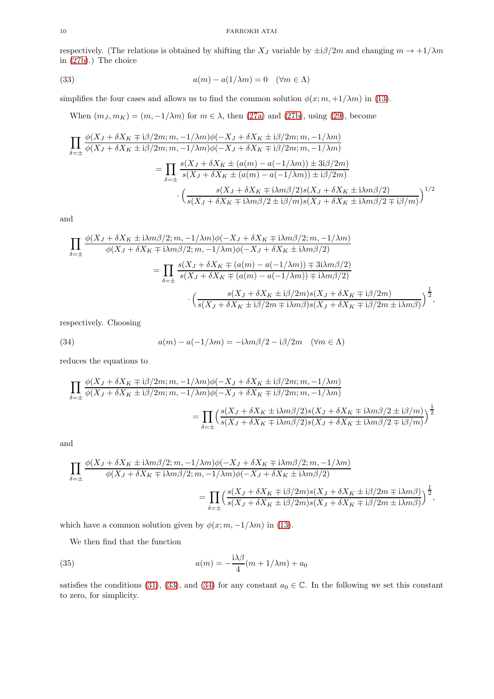respectively. (The relations is obtained by shifting the  $X_J$  variable by  $\pm i\beta/2m$  and changing  $m \to +1/\lambda m$ in [\(27b\)](#page-7-2).) The choice

(33) 
$$
a(m) - a(1/\lambda m) = 0 \quad (\forall m \in \Lambda)
$$

simplifies the four cases and allows us to find the common solution  $\phi(x; m, +1/\lambda m)$  in [\(13\)](#page-3-1).

<span id="page-9-0"></span>When  $(m_J, m_K) = (m, -1/\lambda m)$  for  $m \in \lambda$ , then [\(27a\)](#page-7-1) and [\(27b\)](#page-7-2), using [\(29\)](#page-8-0), become

$$
\prod_{\delta=\pm} \frac{\phi(X_J + \delta X_K \mp i\beta/2m; m, -1/\lambda m)\phi(-X_J + \delta X_K \pm i\beta/2m; m, -1/\lambda m)}{\phi(X_J + \delta X_K \pm i\beta/2m; m, -1/\lambda m)\phi(-X_J + \delta X_K \mp i\beta/2m; m, -1/\lambda m)}
$$
\n
$$
= \prod_{\delta=\pm} \frac{s(X_J + \delta X_K \pm (a(m) - a(-1/\lambda m)) \pm 3i\beta/2m)}{s(X_J + \delta X_K \pm (a(m) - a(-1/\lambda m)) \pm i\beta/2m)}
$$
\n
$$
\cdot \left(\frac{s(X_J + \delta X_K \mp i\lambda m\beta/2)s(X_J + \delta X_K \pm i\lambda m\beta/2)}{s(X_J + \delta X_K \mp i\lambda m\beta/2 \pm i\beta/m)s(X_J + \delta X_K \pm i\lambda m\beta/2 \mp i\beta/m)}\right)^{1/2}
$$

and

$$
\prod_{\delta=\pm} \frac{\phi(X_J + \delta X_K \pm i\lambda m\beta/2; m, -1/\lambda m)\phi(-X_J + \delta X_K \mp i\lambda m\beta/2; m, -1/\lambda m)}{\phi(X_J + \delta X_K \mp i\lambda m\beta/2; m, -1/\lambda m)\phi(-X_J + \delta X_K \pm i\lambda m\beta/2)}
$$
\n
$$
= \prod_{\delta=\pm} \frac{s(X_J + \delta X_K \mp (a(m) - a(-1/\lambda m)) \mp 3i\lambda m\beta/2)}{s(X_J + \delta X_K \mp (a(m) - a(-1/\lambda m)) \mp i\lambda m\beta/2)}
$$
\n
$$
\cdot \left(\frac{s(X_J + \delta X_K \pm i\beta/2m)s(X_J + \delta X_K \mp i\beta/2m)}{s(X_J + \delta X_K \pm i\beta/2m \mp i\lambda m\beta)s(X_J + \delta X_K \mp i\beta/2m \pm i\lambda m\beta)}\right)^{\frac{1}{2}},
$$

respectively. Choosing

<span id="page-9-1"></span>(34) 
$$
a(m) - a(-1/\lambda m) = -i\lambda m\beta/2 - i\beta/2m \quad (\forall m \in \Lambda)
$$

reduces the equations to

$$
\begin{split} \prod_{\delta=\pm}\frac{\phi(X_J+\delta X_K\mp {\rm i}\beta/2m;m,-1/\lambda m)\phi(-X_J+\delta X_K\pm {\rm i}\beta/2m;m,-1/\lambda m)}{\phi(X_J+\delta X_K\pm {\rm i}\beta/2m;m,-1/\lambda m)\phi(-X_J+\delta X_K\mp {\rm i}\beta/2m;m,-1/\lambda m)}\\ =\prod_{\delta=\pm}\Bigl(\frac{s(X_J+\delta X_K\pm {\rm i}\lambda m\beta/2)s(X_J+\delta X_K\mp {\rm i}\lambda m\beta/2\pm {\rm i}\beta/m)}{s(X_J+\delta X_K\mp {\rm i}\lambda m\beta/2)s(X_J+\delta X_K\pm {\rm i}\lambda m\beta/2\mp {\rm i}\beta/m)}\Bigr)^{\frac{1}{2}} \end{split}
$$

and

$$
\begin{split} \prod_{\delta=\pm}\frac{\phi(X_J+\delta X_K\pm {\rm i}\lambda m\beta/2;m,-1/\lambda m)\phi(-X_J+\delta X_K\mp {\rm i}\lambda m\beta/2;m,-1/\lambda m)}{\phi(X_J+\delta X_K\mp {\rm i}\lambda m\beta/2;m,-1/\lambda m)\phi(-X_J+\delta X_K\pm {\rm i}\lambda m\beta/2)}\\ =\prod_{\delta=\pm}\Bigl(\frac{s(X_J+\delta X_K\mp {\rm i}\beta/2m)s(X_J+\delta X_K\pm {\rm i}\beta/2m\mp {\rm i}\lambda m\beta)}{s(X_J+\delta X_K\pm {\rm i}\beta/2m)s(X_J+\delta X_K\pm {\rm i}\beta/2m\pm {\rm i}\lambda m\beta)}\Bigr)^{\frac{1}{2}}, \end{split}
$$

which have a common solution given by  $\phi(x; m, -1/\lambda m)$  in [\(13\)](#page-3-1).

<span id="page-9-2"></span>We then find that the function

(35) 
$$
a(m) = -\frac{i\lambda\beta}{4}(m+1/\lambda m) + a_0
$$

satisfies the conditions [\(31\)](#page-8-2), [\(33\)](#page-9-0), and [\(34\)](#page-9-1) for any constant  $a_0 \in \mathbb{C}$ . In the following we set this constant to zero, for simplicity.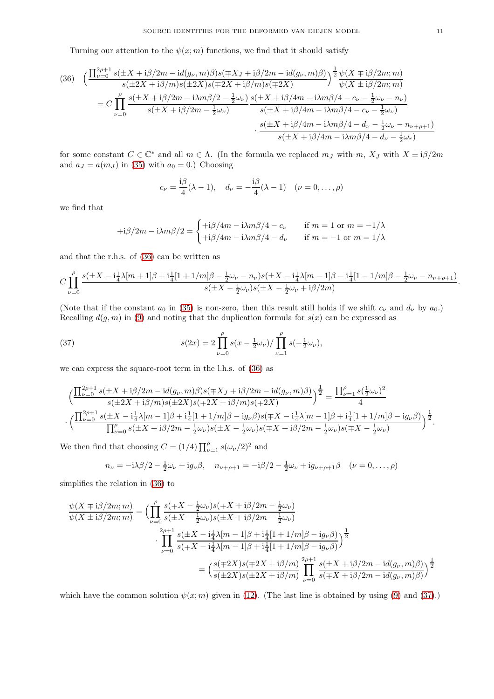Turning our attention to the  $\psi(x; m)$  functions, we find that it should satisfy

<span id="page-10-0"></span>(36) 
$$
\left(\frac{\prod_{\nu=0}^{2\rho+1} s(\pm X + i\beta/2m - id(g_{\nu}, m)\beta)s(\mp X_{J} + i\beta/2m - id(g_{\nu}, m)\beta)}{s(\pm 2X + i\beta/m)s(\pm 2X)s(\mp 2X + i\beta/m)s(\mp 2X)}\right)^{\frac{1}{2}} \frac{\psi(X \mp i\beta/2m; m)}{\psi(X \pm i\beta/2m; m)}
$$

$$
= C \prod_{\nu=0}^{\rho} \frac{s(\pm X + i\beta/2m - i\lambda m\beta/2 - \frac{1}{2}\omega_{\nu})}{s(\pm X + i\beta/2m - \frac{1}{2}\omega_{\nu})} \frac{s(\pm X + i\beta/4m - i\lambda m\beta/4 - c_{\nu} - \frac{1}{2}\omega_{\nu} - n_{\nu})}{s(\pm X + i\beta/4m - i\lambda m\beta/4 - c_{\nu} - \frac{1}{2}\omega_{\nu})}
$$

$$
\cdot \frac{s(\pm X + i\beta/4m - i\lambda m\beta/4 - d_{\nu} - \frac{1}{2}\omega_{\nu} - n_{\nu+\rho+1})}{s(\pm X + i\beta/4m - i\lambda m\beta/4 - d_{\nu} - \frac{1}{2}\omega_{\nu})}
$$

for some constant  $C \in \mathbb{C}^*$  and all  $m \in \Lambda$ . (In the formula we replaced  $m_J$  with  $m$ ,  $X_J$  with  $X \pm i\beta/2m$ and  $a_J = a(m_J)$  in [\(35\)](#page-9-2) with  $a_0 = 0$ .) Choosing

$$
c_{\nu} = \frac{i\beta}{4}(\lambda - 1), \quad d_{\nu} = -\frac{i\beta}{4}(\lambda - 1) \quad (\nu = 0, ..., \rho)
$$

we find that

·

$$
+i\beta/2m - i\lambda m\beta/2 = \begin{cases} +i\beta/4m - i\lambda m\beta/4 - c_{\nu} & \text{if } m = 1 \text{ or } m = -1/\lambda \\ +i\beta/4m - i\lambda m\beta/4 - d_{\nu} & \text{if } m = -1 \text{ or } m = 1/\lambda \end{cases}
$$

and that the r.h.s. of [\(36\)](#page-10-0) can be written as

$$
C\prod_{\nu=0}^{\rho}\frac{s(\pm X-i\frac{1}{4}\lambda[m+1]\beta+\mathrm{i}\frac{1}{4}[1+1/m]\beta-\frac{1}{2}\omega_{\nu}-n_{\nu})s(\pm X-i\frac{1}{4}\lambda[m-1]\beta-\mathrm{i}\frac{1}{4}[1-1/m]\beta-\frac{1}{2}\omega_{\nu}-n_{\nu+\rho+1})}{s(\pm X-\frac{1}{2}\omega_{\nu})s(\pm X-\frac{1}{2}\omega_{\nu}+\mathrm{i}\beta/2m)}.
$$

(Note that if the constant  $a_0$  in [\(35\)](#page-9-2) is non-zero, then this result still holds if we shift  $c_\nu$  and  $d_\nu$  by  $a_0$ .) Recalling  $d(g, m)$  in [\(9\)](#page-2-6) and noting that the duplication formula for  $s(x)$  can be expressed as

<span id="page-10-1"></span>(37) 
$$
s(2x) = 2 \prod_{\nu=0}^{\rho} s(x - \frac{1}{2}\omega_{\nu}) / \prod_{\nu=1}^{\rho} s(-\frac{1}{2}\omega_{\nu}),
$$

we can express the square-root term in the l.h.s. of [\(36\)](#page-10-0) as

$$
\left(\frac{\prod_{\nu=0}^{2\rho+1}s(\pm X+\mathrm{i}\beta/2m-\mathrm{i}d(g_{\nu},m)\beta)s(\mp X_{J}+\mathrm{i}\beta/2m-\mathrm{i}d(g_{\nu},m)\beta)}{s(\pm 2X+\mathrm{i}\beta/m)s(\pm 2X)s(\mp 2X+\mathrm{i}\beta/m)s(\mp 2X)}\right)^{\frac{1}{2}}=\frac{\prod_{\nu=1}^{\rho}s(\frac{1}{2}\omega_{\nu})^{2}}{4}
$$
\n
$$
\left(\frac{\prod_{\nu=0}^{2\rho+1}s(\pm X-\mathrm{i}\frac{1}{4}\lambda[m-1]\beta+\mathrm{i}\frac{1}{4}[1+1/m]\beta-\mathrm{i}g_{\nu}\beta)s(\mp X-\mathrm{i}\frac{1}{4}\lambda[m-1]\beta+\mathrm{i}\frac{1}{4}[1+1/m]\beta-\mathrm{i}g_{\nu}\beta)}{\prod_{\nu=0}^{\rho}s(\pm X+\mathrm{i}\beta/2m-\frac{1}{2}\omega_{\nu})s(\pm X-\frac{1}{2}\omega_{\nu})s(\mp X+\mathrm{i}\beta/2m-\frac{1}{2}\omega_{\nu})s(\mp X-\frac{1}{2}\omega_{\nu})} \right)^{\frac{1}{2}}.
$$

We then find that choosing  $C = (1/4) \prod_{\nu=1}^{\rho} s(\omega_{\nu}/2)^2$  and

$$
n_{\nu} = -i\lambda\beta/2 - \frac{1}{2}\omega_{\nu} + i g_{\nu}\beta, \quad n_{\nu+\rho+1} = -i\beta/2 - \frac{1}{2}\omega_{\nu} + i g_{\nu+\rho+1}\beta \quad (\nu = 0, \dots, \rho)
$$

simplifies the relation in [\(36\)](#page-10-0) to

$$
\frac{\psi(X \mp i\beta/2m; m)}{\psi(X \pm i\beta/2m; m)} = \left( \prod_{\nu=0}^{\rho} \frac{s(\mp X - \frac{1}{2}\omega_{\nu})s(\mp X + i\beta/2m - \frac{1}{2}\omega_{\nu})}{s(\pm X - \frac{1}{2}\omega_{\nu})s(\pm X + i\beta/2m - \frac{1}{2}\omega_{\nu})} + \prod_{\nu=0}^{2\rho+1} \frac{s(\pm X - i\frac{1}{4}\lambda[m - 1]\beta + i\frac{1}{4}[1 + 1/m]\beta - i g_{\nu}\beta)}{s(\mp X - i\frac{1}{4}\lambda[m - 1]\beta + i\frac{1}{4}[1 + 1/m]\beta - i g_{\nu}\beta)} \right)^{\frac{1}{2}}
$$

$$
= \left( \frac{s(\mp 2X)s(\mp 2X + i\beta/m)}{s(\pm 2X)s(\pm 2X + i\beta/m)} \prod_{\nu=0}^{2\rho+1} \frac{s(\pm X + i\beta/2m - id(g_{\nu}, m)\beta)}{s(\mp X + i\beta/2m - id(g_{\nu}, m)\beta)} \right)^{\frac{1}{2}}
$$

which have the common solution  $\psi(x; m)$  given in [\(12\)](#page-2-2). (The last line is obtained by using [\(9\)](#page-2-6) and [\(37\)](#page-10-1).)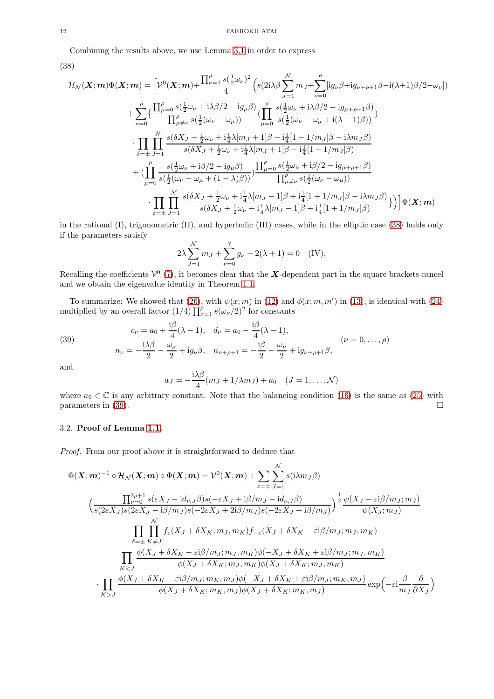Combining the results above, we use Lemma [3.1](#page-6-2) in order to express

<span id="page-11-1"></span>
$$
(38)
$$

$$
\mathcal{H}_{\mathcal{N}}(\boldsymbol{X};\boldsymbol{m})\Phi(\boldsymbol{X};\boldsymbol{m}) = \left[\mathcal{V}^{0}(\boldsymbol{X};\boldsymbol{m}) + \frac{\prod_{\nu=1}^{\rho}s(\frac{1}{2}\omega_{\nu})^{2}}{4}\left(s(2i\lambda\beta\sum_{J=1}^{N}m_{J}+\sum_{\nu=0}^{\rho}[ig_{\nu}\beta+ig_{\nu+\rho+1}\beta-i(\lambda+1)\beta/2-\omega_{\nu}]\right)\right] \n+ \sum_{\nu=0}^{\rho}\left\{\frac{\prod_{\mu=0}^{\rho}s(\frac{1}{2}\omega_{\nu}+i\lambda\beta/2-ig_{\mu}\beta)}{\prod_{\mu\neq\nu}s(\frac{1}{2}(\omega_{\nu}-\omega_{\mu}))}\left(\prod_{\mu=0}^{\rho}\frac{s(\frac{1}{2}\omega_{\nu}+i\lambda\beta/2-ig_{\mu+\rho+1}\beta)}{s(\frac{1}{2}(\omega_{\nu}-\omega_{\mu}+i(\lambda-1)\beta))}\right)\right\} \n\cdot \prod_{\delta=\pm}\prod_{J=1}^{N}\frac{s(\delta X_{J}+\frac{1}{2}\omega_{\nu}+i\frac{1}{4}\lambda[m_{J}+1]\beta-i\frac{1}{4}[1-1/m_{J}]\beta-i\lambda m_{J}\beta)}{s(\delta X_{J}+\frac{1}{2}\omega_{\nu}+i\frac{1}{4}\lambda[m_{J}+1]\beta-i\frac{1}{4}[1-1/m_{J}]\beta)} \n+ (\prod_{\mu=0}^{\rho}\frac{s(\frac{1}{2}\omega_{\nu}+i\beta/2-ig_{\mu}\beta)}{s(\frac{1}{2}(\omega_{\nu}-\omega_{\mu}+(1-\lambda)\beta))})\prod_{\mu=0}^{\rho}s(\frac{1}{2}\omega_{\nu}+i\beta/2-ig_{\mu+\rho+1}\beta)} \n\cdot \prod_{\delta=\pm}\prod_{J=1}^{N}\frac{s(\delta X_{J}+\frac{1}{2}\omega_{\nu}+i\frac{1}{4}\lambda[m_{J}-1]\beta+i\frac{1}{4}[1+1/m_{J}]\beta-i\lambda m_{J}\beta)}{s(\delta X_{J}+\frac{1}{2}\omega_{\nu}+i\frac{1}{4}\lambda[m_{J}-1]\beta+i\frac{1}{4}[1+1/m_{J}]\beta)}\right)\right]\Phi(\boldsymbol{X};\boldsymbol{m})
$$

in the rational (I), trigonometric (II), and hyperbolic (III) cases, while in the elliptic case [\(38\)](#page-11-1) holds only if the parameters satisfy

$$
2\lambda \sum_{J=1}^{N} m_J + \sum_{\nu=0}^{7} g_{\nu} - 2(\lambda + 1) = 0
$$
 (IV).

Recalling the coefficients  $V^0$  [\(7\)](#page-2-4), it becomes clear that the X-dependent part in the square brackets cancel and we obtain the eigenvalue identity in Theorem [1.1.](#page-3-0)

To summarize: We showed that [\(26\)](#page-7-3), with  $\psi(x;m)$  in [\(12\)](#page-2-2) and  $\phi(x;m,m')$  in [\(13\)](#page-3-1), is identical with [\(24\)](#page-6-1) multiplied by an overall factor  $(1/4) \prod_{\nu=1}^{\rho} s(\omega_{\nu}/2)^2$  for constants

<span id="page-11-2"></span>(39) 
$$
c_{\nu} = a_0 + \frac{i\beta}{4}(\lambda - 1), \quad d_{\nu} = a_0 - \frac{i\beta}{4}(\lambda - 1),
$$

$$
n_{\nu} = -\frac{i\lambda\beta}{2} - \frac{\omega_{\nu}}{2} + ig_{\nu}\beta, \quad n_{\nu + \rho + 1} = -\frac{i\beta}{2} - \frac{\omega_{\nu}}{2} + ig_{\nu + \rho + 1}\beta,
$$

$$
(\nu = 0, ..., \rho)
$$

and

$$
a_J = -\frac{i\lambda\beta}{4}(m_J + 1/\lambda m_J) + a_0 \quad (J = 1, \dots, \mathcal{N})
$$

where  $a_0 \in \mathbb{C}$  is any arbitrary constant. Note that the balancing condition [\(16\)](#page-3-2) is the same as [\(25\)](#page-6-3) with parameters in [\(39\)](#page-11-2).

### <span id="page-11-0"></span>3.2. Proof of Lemma [1.1.](#page-3-3)

Proof. From our proof above it is straightforward to deduce that

$$
\Phi(\mathbf{X};\mathbf{m})^{-1} \circ \mathcal{H}_{\mathcal{N}}(\mathbf{X};\mathbf{m}) \circ \Phi(\mathbf{X};\mathbf{m}) = \mathcal{V}^{0}(\mathbf{X};\mathbf{m}) + \sum_{\varepsilon=\pm} \sum_{J=1}^{N} s(i\lambda m_{J}\beta)
$$
\n
$$
\cdot \Big( \frac{\prod_{\nu=0}^{2\rho+1} s(\varepsilon X_{J} - id_{\nu,J}\beta)s(-\varepsilon X_{J} + i\beta/m_{J} - id_{\nu,J}\beta)}{s(2\varepsilon X_{J})s(2\varepsilon X_{J} - i\beta/m_{J})s(-2\varepsilon X_{J} + 2i\beta/m_{J})s(-2\varepsilon X_{J} + i\beta/m_{J})} \Big)^{\frac{1}{2}} \frac{\psi(X_{J} - \varepsilon i\beta/m_{J}; m_{J})}{\psi(X_{J}; m_{J})}
$$
\n
$$
\cdot \prod_{\delta=\pm} \prod_{K\neq J} f_{\varepsilon}(X_{J} + \delta X_{K}; m_{J}, m_{K}) f_{-\varepsilon}(X_{J} + \delta X_{K} - \varepsilon i\beta/m_{J}; m_{J}, m_{K})
$$
\n
$$
\prod_{K\n
$$
\cdot \prod_{K>J} \frac{\phi(X_{J} + \delta X_{K} - \varepsilon i\beta/m_{J}; m_{K}, m_{J})\phi(-X_{J} + \delta X_{K} + \varepsilon i\beta/m_{J}; m_{K}, m_{J})}{\phi(X_{J} + \delta X_{K}; m_{K}, m_{J})\phi(X_{J} + \delta X_{K}; m_{K}, m_{J})} \exp\Big( -\varepsilon i \frac{\beta}{m_{J}} \frac{\partial}{\partial X_{J}} \Big)
$$
$$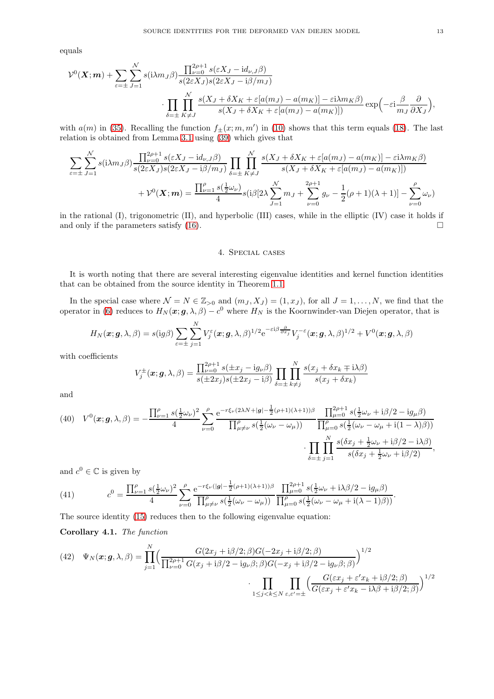equals

$$
\mathcal{V}^{0}(\boldsymbol{X};\boldsymbol{m}) + \sum_{\varepsilon=\pm} \sum_{J=1}^{N} s(i\lambda m_{J}\beta) \frac{\prod_{\nu=0}^{2\rho+1} s(\varepsilon X_{J} - id_{\nu,J}\beta)}{s(2\varepsilon X_{J})s(2\varepsilon X_{J} - i\beta/m_{J})} \cdot \prod_{\delta=\pm} \prod_{K\neq J}^{N} \frac{s(X_{J} + \delta X_{K} + \varepsilon[a(m_{J}) - a(m_{K})] - \varepsilon i\lambda m_{K}\beta)}{s(X_{J} + \delta X_{K} + \varepsilon[a(m_{J}) - a(m_{K})])} \exp\left(-\varepsilon i \frac{\beta}{m_{J}} \frac{\partial}{\partial X_{J}}\right),
$$

with  $a(m)$  in [\(35\)](#page-9-2). Recalling the function  $f_{\pm}(x; m, m')$  in [\(10\)](#page-2-7) shows that this term equals [\(18\)](#page-3-6). The last relation is obtained from Lemma [3.1](#page-6-2) using [\(39\)](#page-11-2) which gives that

$$
\sum_{\varepsilon=\pm} \sum_{J=1}^{N} s(i\lambda m_J \beta) \frac{\prod_{\nu=0}^{2\rho+1} s(\varepsilon X_J - id_{\nu,J}\beta)}{s(2\varepsilon X_J)s(2\varepsilon X_J - i\beta/m_J)} \prod_{\delta=\pm} \prod_{K\neq J}^{N} \frac{s(X_J + \delta X_K + \varepsilon [a(m_J) - a(m_K)] - \varepsilon i\lambda m_K \beta)}{s(X_J + \delta X_K + \varepsilon [a(m_J) - a(m_K)])} + \mathcal{V}^0(\mathbf{X}; \mathbf{m}) = \frac{\prod_{\nu=1}^{\rho} s(\frac{1}{2}\omega_{\nu})}{4} s(i\beta[2\lambda \sum_{J=1}^{N} m_J + \sum_{\nu=0}^{2\rho+1} g_{\nu} - \frac{1}{2}(\rho+1)(\lambda+1)] - \sum_{\nu=0}^{\rho} \omega_{\nu})
$$

<span id="page-12-1"></span>in the rational  $(I)$ , trigonometric  $(II)$ , and hyperbolic  $(III)$  cases, while in the elliptic  $(IV)$  case it holds if and only if the parameters satisfy  $(16)$ .

### 4. Special cases

It is worth noting that there are several interesting eigenvalue identities and kernel function identities that can be obtained from the source identity in Theorem [1.1.](#page-3-0)

In the special case where  $\mathcal{N} = N \in \mathbb{Z}_{>0}$  and  $(m_J, X_J) = (1, x_J)$ , for all  $J = 1, \ldots, N$ , we find that the operator in [\(6\)](#page-2-0) reduces to  $H_N(\bm{x}; \bm{g}, \lambda, \beta) - c^0$  where  $H_N$  is the Koornwinder-van Diejen operator, that is

$$
H_N(\boldsymbol{x}; \boldsymbol{g}, \lambda, \beta) = s(\mathrm{i}g\beta) \sum_{\varepsilon=\pm} \sum_{j=1}^N V_j^{\varepsilon}(\boldsymbol{x}; \boldsymbol{g}, \lambda, \beta)^{1/2} e^{-\varepsilon i \beta \frac{\partial}{\partial x_j}} V_j^{-\varepsilon}(\boldsymbol{x}; \boldsymbol{g}, \lambda, \beta)^{1/2} + V^0(\boldsymbol{x}; \boldsymbol{g}, \lambda, \beta)
$$

with coefficients

$$
V_j^{\pm}(\boldsymbol{x}; \boldsymbol{g}, \lambda, \beta) = \frac{\prod_{\nu=0}^{2\rho+1} s(\pm x_j - ig_\nu \beta)}{s(\pm 2x_j)s(\pm 2x_j - i\beta)} \prod_{\delta=\pm} \prod_{k \neq j}^N \frac{s(x_j + \delta x_k \mp i\lambda \beta)}{s(x_j + \delta x_k)}
$$

and

<span id="page-12-0"></span>(40) 
$$
V^{0}(\mathbf{x}; \mathbf{g}, \lambda, \beta) = -\frac{\prod_{\nu=1}^{\rho} s(\frac{1}{2}\omega_{\nu})^{2}}{4} \sum_{\nu=0}^{\rho} \frac{e^{-r\xi_{\nu}(2\lambda N + |\mathbf{g}| - \frac{1}{2}(\rho+1)(\lambda+1))\beta}}{\prod_{\mu=0}^{\rho} s(\frac{1}{2}(\omega_{\nu} - \omega_{\mu}))} \frac{\prod_{\mu=0}^{2\rho+1} s(\frac{1}{2}\omega_{\nu} + i\beta/2 - i g_{\mu}\beta)}{\prod_{\mu=0}^{\rho} s(\frac{1}{2}(\omega_{\nu} - \omega_{\mu} + i(1-\lambda)\beta))} \cdot \prod_{\delta=\pm}^N \prod_{j=1}^{N} \frac{s(\delta x_j + \frac{1}{2}\omega_{\nu} + i\beta/2 - i\lambda\beta)}{s(\delta x_j + \frac{1}{2}\omega_{\nu} + i\beta/2)},
$$

and  $c^0 \in \mathbb{C}$  is given by

<span id="page-12-2"></span>(41) 
$$
c^{0} = \frac{\prod_{\nu=1}^{\rho} s(\frac{1}{2}\omega_{\nu})^{2}}{4} \sum_{\nu=0}^{\rho} \frac{e^{-r\xi_{\nu}(|g| - \frac{1}{2}(\rho+1)(\lambda+1))\beta}}{\prod_{\mu \neq \nu}^{\rho} s(\frac{1}{2}(\omega_{\nu} - \omega_{\mu}))} \frac{\prod_{\mu=0}^{2\rho+1} s(\frac{1}{2}\omega_{\nu} + i\lambda\beta/2 - ig_{\mu}\beta)}{\prod_{\mu=0}^{\rho} s(\frac{1}{2}(\omega_{\nu} - \omega_{\mu} + i(\lambda - 1)\beta))}.
$$

The source identity [\(15\)](#page-3-4) reduces then to the following eigenvalue equation:

Corollary 4.1. The function

(42) 
$$
\Psi_N(\mathbf{x}; \mathbf{g}, \lambda, \beta) = \prod_{j=1}^N \Biggl( \frac{G(2x_j + i\beta/2; \beta)G(-2x_j + i\beta/2; \beta)}{\prod_{\nu=0}^{2\rho+1} G(x_j + i\beta/2 - ig_\nu\beta; \beta)G(-x_j + i\beta/2 - ig_\nu\beta; \beta)} \Biggr)^{1/2} \cdot \prod_{1 \leq j < k \leq N} \prod_{\varepsilon, \varepsilon' = \pm} \Biggl( \frac{G(\varepsilon x_j + \varepsilon' x_k + i\beta/2; \beta)}{G(\varepsilon x_j + \varepsilon' x_k - i\lambda\beta + i\beta/2; \beta)} \Biggr)^{1/2}
$$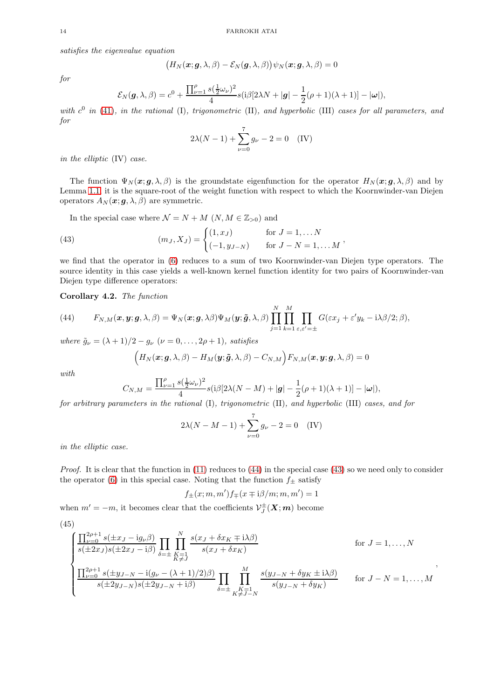satisfies the eigenvalue equation

$$
\big(H_N(\boldsymbol{x}; \boldsymbol{g}, \lambda, \beta) - \mathcal{E}_N(\boldsymbol{g}, \lambda, \beta)\big)\psi_N(\boldsymbol{x}; \boldsymbol{g}, \lambda, \beta) = 0
$$

for

$$
\mathcal{E}_N(\boldsymbol{g},\lambda,\beta) = c^0 + \frac{\prod_{\nu=1}^{\rho} s(\frac{1}{2}\omega_{\nu})^2}{4} s(i\beta[2\lambda N + |\boldsymbol{g}| - \frac{1}{2}(\rho+1)(\lambda+1)] - |\boldsymbol{\omega}|),
$$

with  $c^0$  in [\(41\)](#page-12-2), in the rational (I), trigonometric (II), and hyperbolic (III) cases for all parameters, and for

$$
2\lambda(N - 1) + \sum_{\nu=0}^{7} g_{\nu} - 2 = 0 \quad (IV)
$$

in the elliptic (IV) case.

The function  $\Psi_N(\mathbf{x}; \mathbf{g}, \lambda, \beta)$  is the groundstate eigenfunction for the operator  $H_N(\mathbf{x}; \mathbf{g}, \lambda, \beta)$  and by Lemma [1.1,](#page-3-3) it is the square-root of the weight function with respect to which the Koornwinder-van Diejen operators  $A_N(\boldsymbol{x}; \boldsymbol{g}, \lambda, \beta)$  are symmetric.

<span id="page-13-2"></span>In the special case where  $\mathcal{N} = N + M$   $(N, M \in \mathbb{Z}_{>0})$  and

(43) 
$$
(m_J, X_J) = \begin{cases} (1, x_J) & \text{for } J = 1, \dots N \\ (-1, y_{J-N}) & \text{for } J - N = 1, \dots M \end{cases}
$$

we find that the operator in [\(6\)](#page-2-0) reduces to a sum of two Koornwinder-van Diejen type operators. The source identity in this case yields a well-known kernel function identity for two pairs of Koornwinder-van Diejen type difference operators:

<span id="page-13-0"></span>Corollary 4.2. The function

<span id="page-13-1"></span>(44) 
$$
F_{N,M}(\boldsymbol{x},\boldsymbol{y};\boldsymbol{g},\lambda,\beta)=\Psi_N(\boldsymbol{x};\boldsymbol{g},\lambda\beta)\Psi_M(\boldsymbol{y};\tilde{\boldsymbol{g}},\lambda,\beta)\prod_{j=1}^N\prod_{k=1}^M\prod_{\varepsilon,\varepsilon'= \pm}G(\varepsilon x_j+\varepsilon' y_k-\mathrm{i}\lambda\beta/2;\beta),
$$

where  $\tilde{g}_{\nu} = (\lambda + 1)/2 - g_{\nu}$  ( $\nu = 0, \ldots, 2\rho + 1$ ), satisfies

$$
(H_N(\boldsymbol{x}; \boldsymbol{g}, \lambda, \beta) - H_M(\boldsymbol{y}; \tilde{\boldsymbol{g}}, \lambda, \beta) - C_{N,M}) F_{N,M}(\boldsymbol{x}, \boldsymbol{y}; \boldsymbol{g}, \lambda, \beta) = 0
$$

with

$$
C_{N,M} = \frac{\prod_{\nu=1}^{\rho} s(\frac{1}{2}\omega_{\nu})^2}{4} s(i\beta[2\lambda(N-M) + |\mathbf{g}| - \frac{1}{2}(\rho+1)(\lambda+1)] - |\boldsymbol{\omega}|),
$$

for arbitrary parameters in the rational (I), trigonometric (II), and hyperbolic (III) cases, and for

$$
2\lambda(N - M - 1) + \sum_{\nu=0}^{7} g_{\nu} - 2 = 0
$$
 (IV)

in the elliptic case.

*Proof.* It is clear that the function in  $(11)$  reduces to  $(44)$  in the special case  $(43)$  so we need only to consider the operator [\(6\)](#page-2-0) in this special case. Noting that the function  $f_{\pm}$  satisfy

$$
f_{\pm}(x; m, m') f_{\mp}(x \mp i\beta/m; m, m') = 1
$$

when  $m' = -m$ , it becomes clear that the coefficients  $\mathcal{V}_J^{\pm}(\mathbf{X}; m)$  become

(45)

$$
\begin{cases}\n\frac{\prod_{\nu=0}^{2\rho+1} s(\pm x_J - ig_{\nu}\beta)}{s(\pm 2x_J)s(\pm 2x_J - i\beta)} \prod_{\delta=\pm} \prod_{\substack{K=1\\K\neq J}}^{N} \frac{s(x_J + \delta x_K \mp i\lambda\beta)}{s(x_J + \delta x_K)} & \text{for } J = 1, ..., N \\
\frac{\prod_{\nu=0}^{2\rho+1} s(\pm y_{J-N} - i(g_{\nu} - (\lambda + 1)/2)\beta)}{s(\pm 2y_{J-N} + i\beta)} \prod_{\delta=\pm} \prod_{\substack{K=1\\K\neq J-N}}^{M} \frac{s(y_{J-N} + \delta y_K \pm i\lambda\beta)}{s(y_{J-N} + \delta y_K)} & \text{for } J-N = 1, ..., M\n\end{cases}
$$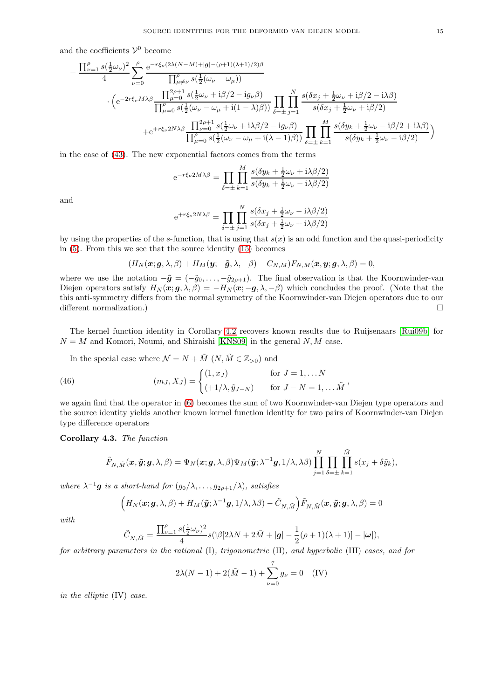and the coefficients  $\mathcal{V}^0$  become

$$
-\frac{\prod_{\nu=1}^{\rho}s(\frac{1}{2}\omega_{\nu})^{2}}{4}\sum_{\nu=0}^{\rho}\frac{e^{-r\xi_{\nu}(2\lambda(N-M)+|g|-(\rho+1)(\lambda+1)/2)\beta}}{\prod_{\mu=0}^{\rho}s(\frac{1}{2}(\omega_{\nu}-\omega_{\mu}))}\cdot\left(e^{-2r\xi_{\nu}M\lambda\beta}\frac{\prod_{\mu=0}^{2\rho+1}s(\frac{1}{2}\omega_{\nu}+i\beta/2-i g_{\nu}\beta)}{\prod_{\mu=0}^{\rho}s(\frac{1}{2}(\omega_{\nu}-\omega_{\mu}+i(1-\lambda)\beta))}\prod_{\delta=\pm}\prod_{j=1}^{N}\frac{s(\delta x_{j}+\frac{1}{2}\omega_{\nu}+i\beta/2-i\lambda\beta)}{s(\delta x_{j}+\frac{1}{2}\omega_{\nu}+i\beta/2)}\right.\\+\left.e^{+r\xi_{\nu}2N\lambda\beta}\frac{\prod_{\nu=0}^{2\rho+1}s(\frac{1}{2}\omega_{\nu}+i\lambda\beta/2-i g_{\nu}\beta)}{\prod_{\mu=0}^{\rho}s(\frac{1}{2}(\omega_{\nu}-\omega_{\mu}+i(\lambda-1)\beta))}\prod_{\delta=\pm}\prod_{k=1}^{M}\frac{s(\delta y_{k}+\frac{1}{2}\omega_{\nu}-i\beta/2+i\lambda\beta)}{s(\delta y_{k}+\frac{1}{2}\omega_{\nu}-i\beta/2)}\right)
$$

in the case of [\(43\)](#page-13-2). The new exponential factors comes from the terms

$$
e^{-r\xi_{\nu}2M\lambda\beta} = \prod_{\delta=\pm} \prod_{k=1}^{M} \frac{s(\delta y_k + \frac{1}{2}\omega_{\nu} + i\lambda\beta/2)}{s(\delta y_k + \frac{1}{2}\omega_{\nu} - i\lambda\beta/2)}
$$

and

$$
e^{+r\xi_{\nu}2N\lambda\beta} = \prod_{\delta=\pm} \prod_{j=1}^{N} \frac{s(\delta x_j + \frac{1}{2}\omega_{\nu} - i\lambda\beta/2)}{s(\delta x_j + \frac{1}{2}\omega_{\nu} + i\lambda\beta/2)}
$$

by using the properties of the s-function, that is using that  $s(x)$  is an odd function and the quasi-periodicity in [\(5\)](#page-2-5). From this we see that the source identity [\(15\)](#page-3-4) becomes

$$
(H_N(\boldsymbol{x}; \boldsymbol{g}, \lambda, \beta) + H_M(\boldsymbol{y}; -\tilde{\boldsymbol{g}}, \lambda, -\beta) - C_{N,M}) F_{N,M}(\boldsymbol{x}; \boldsymbol{y}; \boldsymbol{g}, \lambda, \beta) = 0,
$$

where we use the notation  $-\tilde{g} = (-\tilde{g}_0, \ldots, -\tilde{g}_{2\rho+1})$ . The final observation is that the Koornwinder-van Diejen operators satisfy  $H_N(\mathbf{x}; \mathbf{g}, \lambda, \beta) = -H_N(\mathbf{x}; -\mathbf{g}, \lambda, -\beta)$  which concludes the proof. (Note that the this anti-symmetry differs from the normal symmetry of the Koornwinder-van Diejen operators due to our different normalization.)

The kernel function identity in Corollary [4.2](#page-13-0) recovers known results due to Ruijsenaars [\[Rui09b\]](#page-18-15) for  $N = M$  and Komori, Noumi, and Shiraishi [\[KNS09\]](#page-17-6) in the general  $N, M$  case.

In the special case where  $\mathcal{N} = N + \tilde{M} (N, \tilde{M} \in \mathbb{Z}_{>0})$  and

(46) 
$$
(m_J, X_J) = \begin{cases} (1, x_J) & \text{for } J = 1, ... N \\ (+1/\lambda, \tilde{y}_{J-N}) & \text{for } J - N = 1, ... \tilde{M} \end{cases}
$$

we again find that the operator in [\(6\)](#page-2-0) becomes the sum of two Koornwinder-van Diejen type operators and the source identity yields another known kernel function identity for two pairs of Koornwinder-van Diejen type difference operators

<span id="page-14-0"></span>Corollary 4.3. The function

$$
\tilde{F}_{N,\tilde{M}}(\boldsymbol{x},\tilde{\boldsymbol{y}};\boldsymbol{g},\lambda,\beta)=\Psi_{N}(\boldsymbol{x};\boldsymbol{g},\lambda,\beta)\Psi_{M}(\tilde{\boldsymbol{y}};\lambda^{-1}\boldsymbol{g},1/\lambda,\lambda\beta)\prod_{j=1}^{N}\prod_{\delta=\pm}^{N}\prod_{k=1}^{\tilde{M}}s(x_{j}+\delta\tilde{y}_{k}),
$$

where  $\lambda^{-1}$ **g** is a short-hand for  $(g_0/\lambda, \ldots, g_{2\rho+1}/\lambda)$ , satisfies

$$
(H_N(\boldsymbol{x}; \boldsymbol{g}, \lambda, \beta) + H_M(\boldsymbol{\tilde{y}}; \lambda^{-1} \boldsymbol{g}, 1/\lambda, \lambda \beta) - \tilde{C}_{N, \tilde{M}}) \tilde{F}_{N, \tilde{M}}(\boldsymbol{x}, \boldsymbol{\tilde{y}}; \boldsymbol{g}, \lambda, \beta) = 0
$$

with

$$
\tilde{C}_{N,\tilde{M}}=\frac{\prod_{\nu=1}^{\rho}s(\frac{1}{2}\omega_{\nu})^2}{4}s(\mathrm{i}\beta[2\lambda N+2\tilde{M}+|\textbf{g}|-\frac{1}{2}(\rho+1)(\lambda+1)]-|\pmb{\omega}|),
$$

for arbitrary parameters in the rational (I), trigonometric (II), and hyperbolic (III) cases, and for

$$
2\lambda(N-1) + 2(\tilde{M} - 1) + \sum_{\nu=0}^{7} g_{\nu} = 0
$$
 (IV)

in the elliptic (IV) case.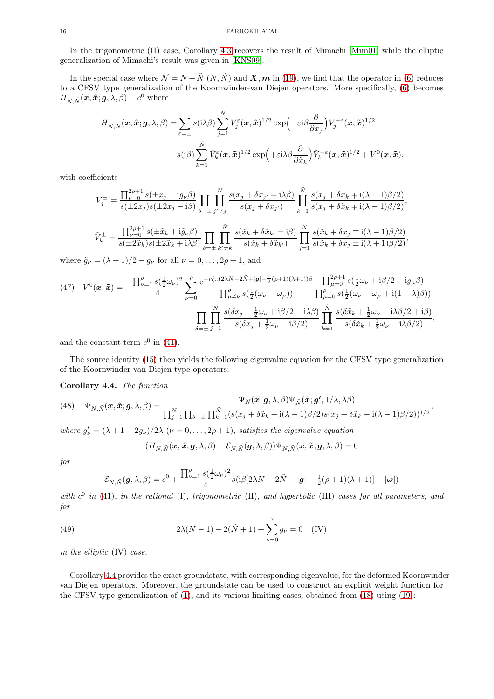In the trigonometric (II) case, Corollary [4.3](#page-14-0) recovers the result of Mimachi [\[Mim01\]](#page-18-17) while the elliptic generalization of Mimachi's result was given in [\[KNS09\]](#page-17-6).

In the special case where  $\mathcal{N} = N + \tilde{N} (N, \tilde{N})$  and  $\mathbf{X}, \mathbf{m}$  in [\(19\)](#page-4-3), we find that the operator in [\(6\)](#page-2-0) reduces to a CFSV type generalization of the Koornwinder-van Diejen operators. More specifically, [\(6\)](#page-2-0) becomes  $H_{N,\tilde{N}}(\boldsymbol{x},\tilde{\boldsymbol{x}};\boldsymbol{g},\lambda,\beta)-c^0$  where

$$
H_{N,\tilde{N}}(\boldsymbol{x},\tilde{\boldsymbol{x}};\boldsymbol{g},\lambda,\beta) = \sum_{\varepsilon=\pm} s(\mathrm{i}\lambda\beta) \sum_{j=1}^{N} V_j^{\varepsilon}(\boldsymbol{x},\tilde{\boldsymbol{x}})^{1/2} \exp\left(-\varepsilon\mathrm{i}\beta \frac{\partial}{\partial x_j}\right) V_j^{-\varepsilon}(\boldsymbol{x},\tilde{\boldsymbol{x}})^{1/2} -s(\mathrm{i}\beta) \sum_{k=1}^{\tilde{N}} \tilde{V}_k^{\varepsilon}(\boldsymbol{x},\tilde{\boldsymbol{x}})^{1/2} \exp\left(+\varepsilon\mathrm{i}\lambda\beta \frac{\partial}{\partial \tilde{x}_k}\right) \tilde{V}_k^{-\varepsilon}(\boldsymbol{x},\tilde{\boldsymbol{x}})^{1/2} + V^0(\boldsymbol{x},\tilde{\boldsymbol{x}}),
$$

with coefficients

$$
V_j^{\pm} = \frac{\prod_{\nu=0}^{2\rho+1} s(\pm x_j - ig_{\nu}\beta)}{s(\pm 2x_j)s(\pm 2x_j - i\beta)} \prod_{\delta=\pm} \prod_{j'\neq j}^N \frac{s(x_j + \delta x_{j'} \mp i\lambda\beta)}{s(x_j + \delta x_{j'})} \prod_{k=1}^{\tilde{N}} \frac{s(x_j + \delta \tilde{x}_k \mp i(\lambda - 1)\beta/2)}{s(x_j + \delta \tilde{x}_k \mp i(\lambda + 1)\beta/2)},
$$
  

$$
\tilde{V}_k^{\pm} = \frac{\prod_{\nu=0}^{2\rho+1} s(\pm \tilde{x}_k + i\tilde{g}_{\nu}\beta)}{s(\pm 2\tilde{x}_k + i\lambda\beta)} \prod_{\delta=\pm}^{\tilde{N}} \prod_{k'\neq k}^{\tilde{N}} \frac{s(\tilde{x}_k + \delta \tilde{x}_{k'} \pm i\beta)}{s(\tilde{x}_k + \delta \tilde{x}_{k'})} \prod_{j=1}^N \frac{s(\tilde{x}_k + \delta x_j \mp i(\lambda - 1)\beta/2)}{s(\tilde{x}_k + \delta x_j \pm i(\lambda + 1)\beta/2)},
$$

where  $\tilde{g}_{\nu} = (\lambda + 1)/2 - g_{\nu}$  for all  $\nu = 0, \dots, 2\rho + 1$ , and

<span id="page-15-0"></span>(47) 
$$
V^{0}(\mathbf{x}, \tilde{\mathbf{x}}) = -\frac{\prod_{\nu=1}^{\rho} s(\frac{1}{2}\omega_{\nu})^{2}}{4} \sum_{\nu=0}^{\rho} \frac{e^{-r\xi_{\nu}(2\lambda N - 2\tilde{N} + |\mathbf{g}| - \frac{1}{2}(\rho+1)(\lambda+1))\beta}}{\prod_{\mu \neq \nu}^{\rho} s(\frac{1}{2}(\omega_{\nu} - \omega_{\mu}))} \frac{\prod_{\mu=0}^{2\rho+1} s(\frac{1}{2}\omega_{\nu} + i\beta/2 - i g_{\mu}\beta)}{\prod_{\mu=0}^{\rho} s(\frac{1}{2}(\omega_{\nu} - \omega_{\mu} + i(1-\lambda)\beta))} \sum_{\delta=\pm}^{\tilde{N}} \frac{s(\delta x_{j} + \frac{1}{2}\omega_{\nu} + i\beta/2 - i\lambda\beta)}{s(\delta x_{j} + \frac{1}{2}\omega_{\nu} + i\beta/2)} \prod_{k=1}^{\tilde{N}} \frac{s(\delta \tilde{x}_{k} + \frac{1}{2}\omega_{\nu} - i\lambda\beta/2 + i\beta)}{s(\delta \tilde{x}_{k} + \frac{1}{2}\omega_{\nu} - i\lambda\beta/2)},
$$

and the constant term  $c^0$  in [\(41\)](#page-12-2).

The source identity [\(15\)](#page-3-4) then yields the following eigenvalue equation for the CFSV type generalization of the Koornwinder-van Diejen type operators:

# <span id="page-15-1"></span>Corollary 4.4. The function

(48) 
$$
\Psi_{N,\tilde{N}}(\boldsymbol{x}, \tilde{\boldsymbol{x}}; \boldsymbol{g}, \lambda, \beta) = \frac{\Psi_{N}(\boldsymbol{x}; \boldsymbol{g}, \lambda, \beta) \Psi_{\tilde{N}}(\tilde{\boldsymbol{x}}; \boldsymbol{g}', 1/\lambda, \lambda \beta)}{\prod_{j=1}^{N} \prod_{\delta=\pm} \prod_{\tilde{k}=1}^{\tilde{N}} (s(x_j + \delta \tilde{x}_{k} + i(\lambda - 1)\beta/2) s(x_j + \delta \tilde{x}_{k} - i(\lambda - 1)\beta/2))^{1/2}},
$$

where  $g'_{\nu} = (\lambda + 1 - 2g_{\nu})/2\lambda$  ( $\nu = 0, ..., 2\rho + 1$ ), satisfies the eigenvalue equation

<span id="page-15-2"></span>
$$
(H_{N,\tilde{N}}(\boldsymbol{x},\tilde{\boldsymbol{x}};\boldsymbol{g},\lambda,\beta)-\mathcal{E}_{N,\tilde{N}}(\boldsymbol{g},\lambda,\beta))\Psi_{N,\tilde{N}}(\boldsymbol{x},\tilde{\boldsymbol{x}};\boldsymbol{g},\lambda,\beta)=0
$$

for

$$
\mathcal{E}_{N,\tilde{N}}(\boldsymbol{g},\lambda,\beta) = c^0 + \frac{\prod_{\nu=1}^{\rho} s(\frac{1}{2}\omega_{\nu})^2}{4} s(i\beta[2\lambda N - 2\tilde{N} + |\boldsymbol{g}| - \frac{1}{2}(\rho+1)(\lambda+1)] - |\boldsymbol{\omega}|)
$$

with  $c^0$  in [\(41\)](#page-12-2), in the rational (I), trigonometric (II), and hyperbolic (III) cases for all parameters, and for

(49) 
$$
2\lambda(N-1) - 2(\tilde{N} + 1) + \sum_{\nu=0}^{7} g_{\nu} = 0 \quad (IV)
$$

in the elliptic (IV) case.

Corollary [4.4](#page-15-1) provides the exact groundstate, with corresponding eigenvalue, for the deformed Koornwindervan Diejen operators. Moreover, the groundstate can be used to construct an explicit weight function for the CFSV type generalization of [\(1\)](#page-0-2), and its various limiting cases, obtained from [\(18\)](#page-3-6) using [\(19\)](#page-4-3):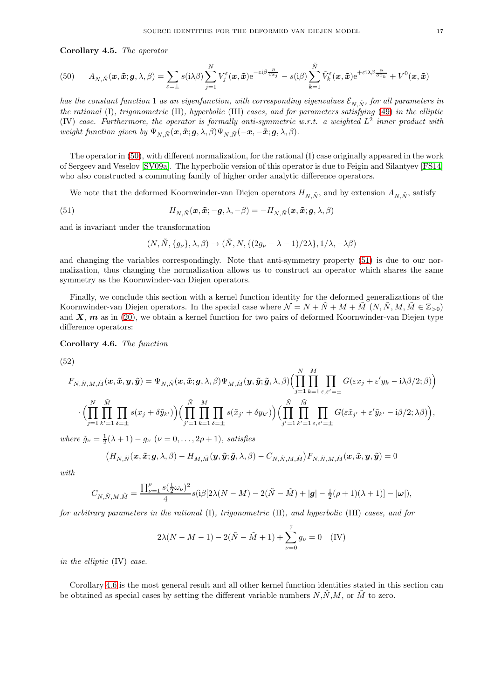#### Corollary 4.5. The operator

<span id="page-16-1"></span>
$$
(50) \qquad A_{N,\tilde{N}}(\boldsymbol{x},\tilde{\boldsymbol{x}};\boldsymbol{g},\lambda,\beta)=\sum_{\varepsilon=\pm} s(\mathrm{i}\lambda\beta) \sum_{j=1}^{N} V_{j}^{\varepsilon}(\boldsymbol{x},\tilde{\boldsymbol{x}}) \mathrm{e}^{-\varepsilon\mathrm{i}\beta\frac{\partial}{\partial x_{j}}}-s(\mathrm{i}\beta) \sum_{k=1}^{\tilde{N}} \tilde{V}_{k}^{\varepsilon}(\boldsymbol{x},\tilde{\boldsymbol{x}}) \mathrm{e}^{+\varepsilon\mathrm{i}\lambda\beta\frac{\partial}{\partial \tilde{x}_{k}}}+V^{0}(\boldsymbol{x},\tilde{\boldsymbol{x}})
$$

has the constant function 1 as an eigenfunction, with corresponding eigenvalues  $\mathcal{E}_{N,\tilde{N}}$ , for all parameters in the rational (I), trigonometric (II), hyperbolic (III) cases, and for parameters satisfying [\(49\)](#page-15-2) in the elliptic (IV) case. Furthermore, the operator is formally anti-symmetric w.r.t. a weighted  $L^2$  inner product with weight function given by  $\Psi_{N,\tilde{N}}(\boldsymbol{x}, \tilde{\boldsymbol{x}}; \boldsymbol{g}, \lambda, \beta) \Psi_{N,\tilde{N}}(-\boldsymbol{x}, -\tilde{\boldsymbol{x}}; \boldsymbol{g}, \lambda, \beta).$ 

The operator in [\(50\)](#page-16-1), with different normalization, for the rational (I) case originally appeared in the work of Sergeev and Veselov [\[SV09a\]](#page-18-13). The hyperbolic version of this operator is due to Feigin and Silantyev [\[FS14\]](#page-17-5) who also constructed a commuting family of higher order analytic difference operators.

We note that the deformed Koornwinder-van Diejen operators  $H_{N,\tilde{N}}$ , and by extension  $A_{N,\tilde{N}}$ , satisfy

(51) 
$$
H_{N,\tilde{N}}(\boldsymbol{x},\tilde{\boldsymbol{x}};-\boldsymbol{g},\lambda,-\beta)=-H_{N,\tilde{N}}(\boldsymbol{x},\tilde{\boldsymbol{x}};\boldsymbol{g},\lambda,\beta)
$$

and is invariant under the transformation

<span id="page-16-2"></span>
$$
(N, \tilde{N}, \{g_{\nu}\}, \lambda, \beta) \rightarrow (\tilde{N}, N, \{(2g_{\nu} - \lambda - 1)/2\lambda\}, 1/\lambda, -\lambda\beta)
$$

and changing the variables correspondingly. Note that anti-symmetry property [\(51\)](#page-16-2) is due to our normalization, thus changing the normalization allows us to construct an operator which shares the same symmetry as the Koornwinder-van Diejen operators.

Finally, we conclude this section with a kernel function identity for the deformed generalizations of the Koornwinder-van Diejen operators. In the special case where  $\mathcal{N} = N + N + M + M (N, N, M, M \in \mathbb{Z}_{>0})$ and  $X, m$  as in [\(20\)](#page-4-4), we obtain a kernel function for two pairs of deformed Koornwinder-van Diejen type difference operators:

<span id="page-16-0"></span>Corollary 4.6. The function

(52)

$$
F_{N,\tilde{N},M,\tilde{M}}(\boldsymbol{x},\tilde{\boldsymbol{x}},\boldsymbol{y},\tilde{\boldsymbol{y}}) = \Psi_{N,\tilde{N}}(\boldsymbol{x},\tilde{\boldsymbol{x}};\boldsymbol{g},\lambda,\beta) \Psi_{M,\tilde{M}}(\boldsymbol{y},\tilde{\boldsymbol{y}};\tilde{\boldsymbol{g}},\lambda,\beta) \Big( \prod_{j=1}^N \prod_{k=1}^M \prod_{\varepsilon,\varepsilon'= \pm} G(\varepsilon x_j + \varepsilon' y_k - i \lambda \beta/2;\beta) \Big) \cdot \Big( \prod_{j=1}^N \prod_{k'=1}^M \prod_{\delta=\pm} s(x_j + \delta \tilde{y}_{k'}) \Big) \Big( \prod_{j'=1}^{\tilde{N}} \prod_{k=1}^M \prod_{\delta=\pm} s(\tilde{x}_{j'} + \delta y_{k'}) \Big) \Big( \prod_{j'=1}^{\tilde{N}} \prod_{k'=1}^{\tilde{M}} \prod_{\varepsilon,\varepsilon' = \pm} G(\varepsilon \tilde{x}_{j'} + \varepsilon' \tilde{y}_{k'} - i \beta/2;\lambda\beta) \Big),
$$

where  $\tilde{g}_{\nu} = \frac{1}{2}(\lambda + 1) - g_{\nu}$   $(\nu = 0, \dots, 2\rho + 1)$ , satisfies

$$
(H_{N,\tilde{N}}(\boldsymbol{x},\tilde{\boldsymbol{x}};\boldsymbol{g},\lambda,\beta)-H_{M,\tilde{M}}(\boldsymbol{y},\tilde{\boldsymbol{y}};\tilde{\boldsymbol{g}},\lambda,\beta)-C_{N,\tilde{N},M,\tilde{M}})F_{N,\tilde{N},M,\tilde{M}}(\boldsymbol{x},\tilde{\boldsymbol{x}},\boldsymbol{y},\tilde{\boldsymbol{y}})=0
$$

with

$$
C_{N,\tilde N,M,\tilde M}=\frac{\prod_{\nu=1}^{\rho}s(\frac{1}{2}\omega_{\nu})^2}{4}s(\mathrm{i}\beta[2\lambda(N-M)-2(\tilde N-\tilde M)+|\pmb g|-\tfrac{1}{2}(\rho+1)(\lambda+1)]-|\pmb\omega|),
$$

for arbitrary parameters in the rational (I), trigonometric (II), and hyperbolic (III) cases, and for

$$
2\lambda(N - M - 1) - 2(\tilde{N} - \tilde{M} + 1) + \sum_{\nu=0}^{7} g_{\nu} = 0
$$
 (IV)

in the elliptic (IV) case.

Corollary [4.6](#page-16-0) is the most general result and all other kernel function identities stated in this section can be obtained as special cases by setting the different variable numbers  $N, N, M$ , or M to zero.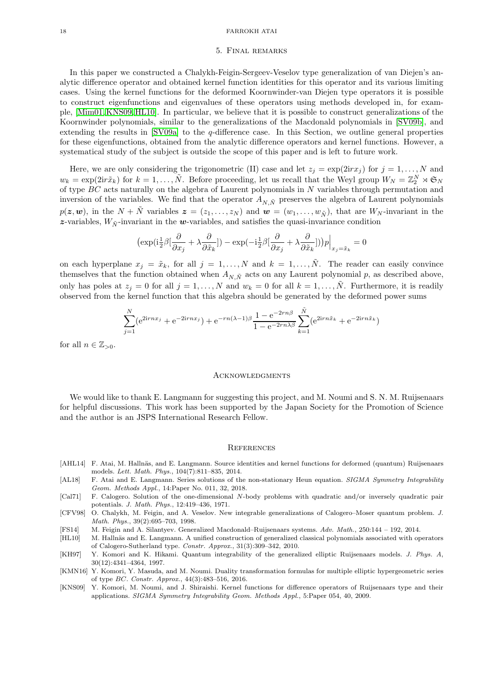#### <span id="page-17-7"></span>18 FARROKH ATAI

### 5. Final remarks

In this paper we constructed a Chalykh-Feigin-Sergeev-Veselov type generalization of van Diejen's analytic difference operator and obtained kernel function identities for this operator and its various limiting cases. Using the kernel functions for the deformed Koornwinder-van Diejen type operators it is possible to construct eigenfunctions and eigenvalues of these operators using methods developed in, for example, [\[Mim01,](#page-18-17) [KNS09,](#page-17-6) [HL10\]](#page-17-3). In particular, we believe that it is possible to construct generalizations of the Koornwinder polynomials, similar to the generalizations of the Macdonald polynomials in [\[SV09b\]](#page-18-18), and extending the results in  $[SV09a]$  to the q-difference case. In this Section, we outline general properties for these eigenfunctions, obtained from the analytic difference operators and kernel functions. However, a systematical study of the subject is outside the scope of this paper and is left to future work.

Here, we are only considering the trigonometric (II) case and let  $z_j = \exp(2\mathrm{i}r x_j)$  for  $j = 1, \ldots, N$  and  $w_k = \exp(2\mathrm{i}r\tilde{x}_k)$  for  $k = 1, \ldots, \tilde{N}$ . Before proceeding, let us recall that the Weyl group  $W_N = \mathbb{Z}_2^N \rtimes \mathfrak{S}_N$ of type BC acts naturally on the algebra of Laurent polynomials in N variables through permutation and inversion of the variables. We find that the operator  $A_{N,\tilde{N}}$  preserves the algebra of Laurent polynomials  $p(z, w)$ , in the  $N + \tilde{N}$  variables  $z = (z_1, \ldots, z_N)$  and  $w = (w_1, \ldots, w_{\tilde{N}})$ , that are  $W_N$ -invariant in the z-variables,  $W_{\tilde{N}}$ -invariant in the w-variables, and satisfies the quasi-invariance condition

$$
\left(\exp(\mathrm{i}\frac{1}{2}\beta[\frac{\partial}{\partial x_j} + \lambda \frac{\partial}{\partial \tilde{x}_k}]) - \exp(-\mathrm{i}\frac{1}{2}\beta[\frac{\partial}{\partial x_j} + \lambda \frac{\partial}{\partial \tilde{x}_k}])\right)p\Big|_{x_j = \tilde{x}_k} = 0
$$

on each hyperplane  $x_j = \tilde{x}_k$ , for all  $j = 1, ..., N$  and  $k = 1, ..., \tilde{N}$ . The reader can easily convince themselves that the function obtained when  $A_{N,\tilde{N}}$  acts on any Laurent polynomial p, as described above, only has poles at  $z_i = 0$  for all  $j = 1, ..., N$  and  $w_k = 0$  for all  $k = 1, ..., \tilde{N}$ . Furthermore, it is readily observed from the kernel function that this algebra should be generated by the deformed power sums

$$
\sum_{j=1}^{N} (e^{2irnx_j} + e^{-2irnx_j}) + e^{-rn(\lambda - 1)\beta} \frac{1 - e^{-2rn\beta}}{1 - e^{-2rn\lambda\beta}} \sum_{k=1}^{\tilde{N}} (e^{2irn\tilde{x}_k} + e^{-2irn\tilde{x}_k})
$$

for all  $n \in \mathbb{Z}_{\geq 0}$ .

#### **ACKNOWLEDGMENTS**

We would like to thank E. Langmann for suggesting this project, and M. Noumi and S. N. M. Ruijsenaars for helpful discussions. This work has been supported by the Japan Society for the Promotion of Science and the author is an JSPS International Research Fellow.

#### **REFERENCES**

- <span id="page-17-8"></span>[AHL14] F. Atai, M. Hallnäs, and E. Langmann. Source identities and kernel functions for deformed (quantum) Ruijsenaars models. Lett. Math. Phys., 104(7):811–835, 2014.
- <span id="page-17-1"></span>[AL18] F. Atai and E. Langmann. Series solutions of the non-stationary Heun equation. SIGMA Symmetry Integrability Geom. Methods Appl., 14:Paper No. 011, 32, 2018.
- <span id="page-17-0"></span>[Cal71] F. Calogero. Solution of the one-dimensional N-body problems with quadratic and/or inversely quadratic pair potentials. J. Math. Phys., 12:419–436, 1971.
- <span id="page-17-4"></span>[CFV98] O. Chalykh, M. Feigin, and A. Veselov. New integrable generalizations of Calogero–Moser quantum problem. J. Math. Phys., 39(2):695–703, 1998.
- <span id="page-17-5"></span>[FS14] M. Feigin and A. Silantyev. Generalized Macdonald–Ruijsenaars systems. Adv. Math., 250:144 – 192, 2014.
- <span id="page-17-3"></span>[HL10] M. Hallnäs and E. Langmann. A unified construction of generalized classical polynomials associated with operators of Calogero-Sutherland type. Constr. Approx., 31(3):309–342, 2010.
- <span id="page-17-2"></span>[KH97] Y. Komori and K. Hikami. Quantum integrability of the generalized elliptic Ruijsenaars models. J. Phys. A, 30(12):4341–4364, 1997.
- <span id="page-17-9"></span>[KMN16] Y. Komori, Y. Masuda, and M. Noumi. Duality transformation formulas for multiple elliptic hypergeometric series of type BC. Constr. Approx., 44(3):483–516, 2016.
- <span id="page-17-6"></span>[KNS09] Y. Komori, M. Noumi, and J. Shiraishi. Kernel functions for difference operators of Ruijsenaars type and their applications. SIGMA Symmetry Integrability Geom. Methods Appl., 5:Paper 054, 40, 2009.